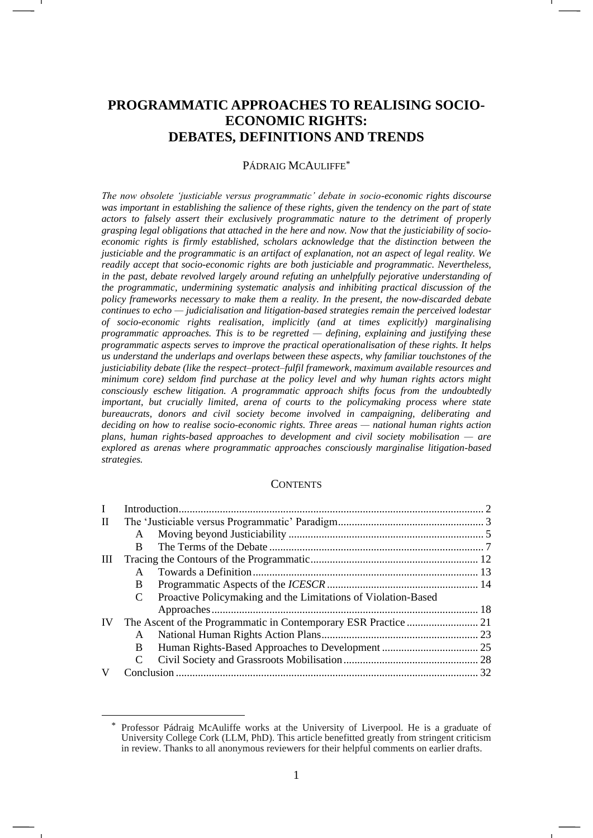# **PROGRAMMATIC APPROACHES TO REALISING SOCIO-ECONOMIC RIGHTS: DEBATES, DEFINITIONS AND TRENDS**

#### PÁDRAIG MCAULIFFE<sup>\*</sup>

*The now obsolete 'justiciable versus programmatic' debate in socio-economic rights discourse was important in establishing the salience of these rights, given the tendency on the part of state actors to falsely assert their exclusively programmatic nature to the detriment of properly grasping legal obligations that attached in the here and now. Now that the justiciability of socioeconomic rights is firmly established, scholars acknowledge that the distinction between the justiciable and the programmatic is an artifact of explanation, not an aspect of legal reality. We readily accept that socio-economic rights are both justiciable and programmatic. Nevertheless, in the past, debate revolved largely around refuting an unhelpfully pejorative understanding of the programmatic, undermining systematic analysis and inhibiting practical discussion of the policy frameworks necessary to make them a reality. In the present, the now-discarded debate continues to echo — judicialisation and litigation-based strategies remain the perceived lodestar of socio-economic rights realisation, implicitly (and at times explicitly) marginalising programmatic approaches. This is to be regretted — defining, explaining and justifying these programmatic aspects serves to improve the practical operationalisation of these rights. It helps us understand the underlaps and overlaps between these aspects, why familiar touchstones of the justiciability debate (like the respect–protect–fulfil framework, maximum available resources and minimum core) seldom find purchase at the policy level and why human rights actors might consciously eschew litigation. A programmatic approach shifts focus from the undoubtedly important, but crucially limited, arena of courts to the policymaking process where state bureaucrats, donors and civil society become involved in campaigning, deliberating and deciding on how to realise socio-economic rights. Three areas — national human rights action plans, human rights-based approaches to development and civil society mobilisation — are explored as arenas where programmatic approaches consciously marginalise litigation-based strategies.*

#### **CONTENTS**

| $\bf{I}$     |              |                                                               |  |
|--------------|--------------|---------------------------------------------------------------|--|
| $\mathbf{H}$ |              |                                                               |  |
|              | A            |                                                               |  |
|              | B.           |                                                               |  |
| Ш            |              |                                                               |  |
|              | A            |                                                               |  |
|              | B.           |                                                               |  |
|              | C            | Proactive Policymaking and the Limitations of Violation-Based |  |
|              |              |                                                               |  |
| IV           |              |                                                               |  |
|              | A            |                                                               |  |
|              | <sub>B</sub> |                                                               |  |
|              | C            |                                                               |  |
| V            |              |                                                               |  |

<sup>\*</sup> Professor Pádraig McAuliffe works at the University of Liverpool. He is a graduate of University College Cork (LLM, PhD). This article benefitted greatly from stringent criticism in review. Thanks to all anonymous reviewers for their helpful comments on earlier drafts.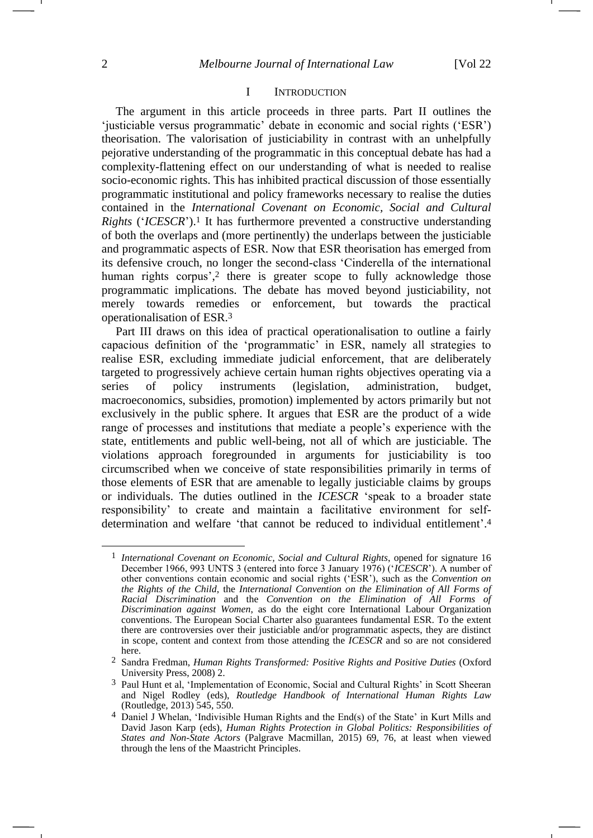#### <span id="page-1-3"></span>I INTRODUCTION

The argument in this article proceeds in three parts. Part II outlines the 'justiciable versus programmatic' debate in economic and social rights ('ESR') theorisation. The valorisation of justiciability in contrast with an unhelpfully pejorative understanding of the programmatic in this conceptual debate has had a complexity-flattening effect on our understanding of what is needed to realise socio-economic rights. This has inhibited practical discussion of those essentially programmatic institutional and policy frameworks necessary to realise the duties contained in the *International Covenant on Economic, Social and Cultural Rights* ('*ICESCR*').<sup>1</sup> It has furthermore prevented a constructive understanding of both the overlaps and (more pertinently) the underlaps between the justiciable and programmatic aspects of ESR. Now that ESR theorisation has emerged from its defensive crouch, no longer the second-class 'Cinderella of the international human rights corpus', <sup>2</sup> there is greater scope to fully acknowledge those programmatic implications. The debate has moved beyond justiciability, not merely towards remedies or enforcement, but towards the practical operationalisation of ESR.<sup>3</sup>

<span id="page-1-2"></span><span id="page-1-1"></span>Part III draws on this idea of practical operationalisation to outline a fairly capacious definition of the 'programmatic' in ESR, namely all strategies to realise ESR, excluding immediate judicial enforcement, that are deliberately targeted to progressively achieve certain human rights objectives operating via a series of policy instruments (legislation, administration, budget, macroeconomics, subsidies, promotion) implemented by actors primarily but not exclusively in the public sphere. It argues that ESR are the product of a wide range of processes and institutions that mediate a people's experience with the state, entitlements and public well-being, not all of which are justiciable. The violations approach foregrounded in arguments for justiciability is too circumscribed when we conceive of state responsibilities primarily in terms of those elements of ESR that are amenable to legally justiciable claims by groups or individuals. The duties outlined in the *ICESCR* 'speak to a broader state responsibility' to create and maintain a facilitative environment for selfdetermination and welfare 'that cannot be reduced to individual entitlement'. 4

<span id="page-1-0"></span><sup>1</sup> *International Covenant on Economic, Social and Cultural Rights*, opened for signature 16 December 1966, 993 UNTS 3 (entered into force 3 January 1976) ('*ICESCR*'). A number of other conventions contain economic and social rights ('ESR'), such as the *Convention on the Rights of the Child*, the *International Convention on the Elimination of All Forms of Racial Discrimination* and the *Convention on the Elimination of All Forms of Discrimination against Women*, as do the eight core International Labour Organization conventions. The European Social Charter also guarantees fundamental ESR. To the extent there are controversies over their justiciable and/or programmatic aspects, they are distinct in scope, content and context from those attending the *ICESCR* and so are not considered here.

<sup>2</sup> Sandra Fredman, *Human Rights Transformed: Positive Rights and Positive Duties* (Oxford University Press, 2008) 2.

<sup>3</sup> Paul Hunt et al, 'Implementation of Economic, Social and Cultural Rights' in Scott Sheeran and Nigel Rodley (eds), *Routledge Handbook of International Human Rights Law* (Routledge, 2013) 545, 550.

Daniel J Whelan, 'Indivisible Human Rights and the End(s) of the State' in Kurt Mills and David Jason Karp (eds), *Human Rights Protection in Global Politics: Responsibilities of States and Non-State Actors* (Palgrave Macmillan, 2015) 69, 76, at least when viewed through the lens of the Maastricht Principles.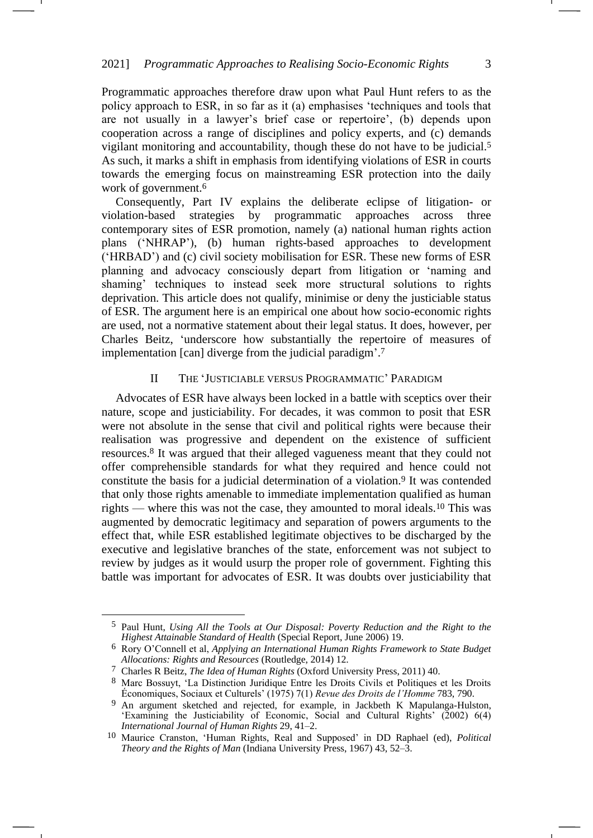Programmatic approaches therefore draw upon what Paul Hunt refers to as the policy approach to ESR, in so far as it (a) emphasises 'techniques and tools that are not usually in a lawyer's brief case or repertoire', (b) depends upon cooperation across a range of disciplines and policy experts, and (c) demands vigilant monitoring and accountability, though these do not have to be judicial.<sup>5</sup> As such, it marks a shift in emphasis from identifying violations of ESR in courts towards the emerging focus on mainstreaming ESR protection into the daily work of government.<sup>6</sup>

<span id="page-2-0"></span>Consequently, Part IV explains the deliberate eclipse of litigation- or violation-based strategies by programmatic approaches across three contemporary sites of ESR promotion, namely (a) national human rights action plans ('NHRAP'), (b) human rights-based approaches to development ('HRBAD') and (c) civil society mobilisation for ESR. These new forms of ESR planning and advocacy consciously depart from litigation or 'naming and shaming' techniques to instead seek more structural solutions to rights deprivation. This article does not qualify, minimise or deny the justiciable status of ESR. The argument here is an empirical one about how socio-economic rights are used, not a normative statement about their legal status. It does, however, per Charles Beitz, 'underscore how substantially the repertoire of measures of implementation [can] diverge from the judicial paradigm'. 7

#### <span id="page-2-1"></span>II THE 'JUSTICIABLE VERSUS PROGRAMMATIC' PARADIGM

Advocates of ESR have always been locked in a battle with sceptics over their nature, scope and justiciability. For decades, it was common to posit that ESR were not absolute in the sense that civil and political rights were because their realisation was progressive and dependent on the existence of sufficient resources.<sup>8</sup> It was argued that their alleged vagueness meant that they could not offer comprehensible standards for what they required and hence could not constitute the basis for a judicial determination of a violation.<sup>9</sup> It was contended that only those rights amenable to immediate implementation qualified as human rights — where this was not the case, they amounted to moral ideals.<sup>10</sup> This was augmented by democratic legitimacy and separation of powers arguments to the effect that, while ESR established legitimate objectives to be discharged by the executive and legislative branches of the state, enforcement was not subject to review by judges as it would usurp the proper role of government. Fighting this battle was important for advocates of ESR. It was doubts over justiciability that -1

<sup>5</sup> Paul Hunt, *Using All the Tools at Our Disposal: Poverty Reduction and the Right to the Highest Attainable Standard of Health* (Special Report, June 2006) 19.

<sup>6</sup> Rory O'Connell et al, *Applying an International Human Rights Framework to State Budget Allocations: Rights and Resources* (Routledge, 2014) 12.

<sup>7</sup> Charles R Beitz, *The Idea of Human Rights* (Oxford University Press, 2011) 40.

<sup>8</sup> Marc Bossuyt, 'La Distinction Juridique Entre les Droits Civils et Politiques et les Droits Économiques, Sociaux et Culturels' (1975) 7(1) *Revue des Droits de l'Homme* 783, 790.

<sup>9</sup> An argument sketched and rejected, for example, in Jackbeth K Mapulanga-Hulston, 'Examining the Justiciability of Economic, Social and Cultural Rights' (2002) 6(4) *International Journal of Human Rights* 29, 41–2.

<sup>10</sup> Maurice Cranston, 'Human Rights, Real and Supposed' in DD Raphael (ed), *Political Theory and the Rights of Man* (Indiana University Press, 1967) 43, 52–3.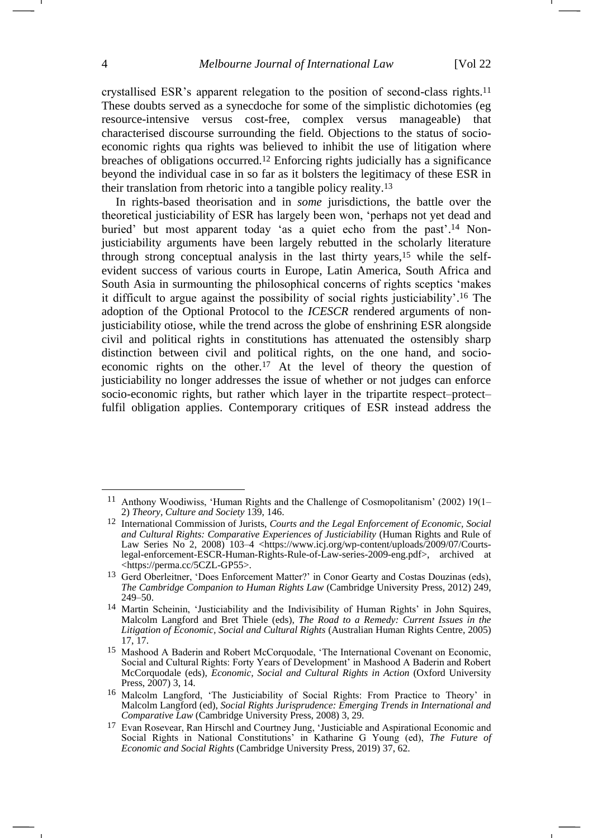crystallised ESR's apparent relegation to the position of second-class rights.<sup>11</sup> These doubts served as a synecdoche for some of the simplistic dichotomies (eg resource-intensive versus cost-free, complex versus manageable) that characterised discourse surrounding the field. Objections to the status of socioeconomic rights qua rights was believed to inhibit the use of litigation where breaches of obligations occurred.<sup>12</sup> Enforcing rights judicially has a significance beyond the individual case in so far as it bolsters the legitimacy of these ESR in their translation from rhetoric into a tangible policy reality.<sup>13</sup>

<span id="page-3-1"></span><span id="page-3-0"></span>In rights-based theorisation and in *some* jurisdictions, the battle over the theoretical justiciability of ESR has largely been won, 'perhaps not yet dead and buried' but most apparent today 'as a quiet echo from the past'.<sup>14</sup> Nonjusticiability arguments have been largely rebutted in the scholarly literature through strong conceptual analysis in the last thirty years,<sup>15</sup> while the selfevident success of various courts in Europe, Latin America, South Africa and South Asia in surmounting the philosophical concerns of rights sceptics 'makes it difficult to argue against the possibility of social rights justiciability'. <sup>16</sup> The adoption of the Optional Protocol to the *ICESCR* rendered arguments of nonjusticiability otiose, while the trend across the globe of enshrining ESR alongside civil and political rights in constitutions has attenuated the ostensibly sharp distinction between civil and political rights, on the one hand, and socioeconomic rights on the other.<sup>17</sup> At the level of theory the question of justiciability no longer addresses the issue of whether or not judges can enforce socio-economic rights, but rather which layer in the tripartite respect–protect– fulfil obligation applies. Contemporary critiques of ESR instead address the

<sup>11</sup> Anthony Woodiwiss, 'Human Rights and the Challenge of Cosmopolitanism' (2002) 19(1– 2) *Theory, Culture and Society* 139, 146.

<sup>12</sup> International Commission of Jurists, *Courts and the Legal Enforcement of Economic, Social and Cultural Rights: Comparative Experiences of Justiciability* (Human Rights and Rule of Law Series No 2, 2008) 103-4 <https://www.icj.org/wp-content/uploads/2009/07/Courtslegal-enforcement-ESCR-Human-Rights-Rule-of-Law-series-2009-eng.pdf>, archived at <https://perma.cc/5CZL-GP55>.

<sup>13</sup> Gerd Oberleitner, 'Does Enforcement Matter?' in Conor Gearty and Costas Douzinas (eds), *The Cambridge Companion to Human Rights Law* (Cambridge University Press, 2012) 249, 249–50.

<sup>&</sup>lt;sup>14</sup> Martin Scheinin, 'Justiciability and the Indivisibility of Human Rights' in John Squires, Malcolm Langford and Bret Thiele (eds), *The Road to a Remedy: Current Issues in the Litigation of Economic, Social and Cultural Rights* (Australian Human Rights Centre, 2005) 17, 17.

<sup>15</sup> Mashood A Baderin and Robert McCorquodale, 'The International Covenant on Economic, Social and Cultural Rights: Forty Years of Development' in Mashood A Baderin and Robert McCorquodale (eds), *Economic, Social and Cultural Rights in Action* (Oxford University Press, 2007) 3, 14.

<sup>16</sup> Malcolm Langford, 'The Justiciability of Social Rights: From Practice to Theory' in Malcolm Langford (ed), *Social Rights Jurisprudence: Emerging Trends in International and Comparative Law* (Cambridge University Press, 2008) 3, 29.

<sup>&</sup>lt;sup>17</sup> Evan Rosevear, Ran Hirschl and Courtney Jung, 'Justiciable and Aspirational Economic and Social Rights in National Constitutions' in Katharine G Young (ed), *The Future of Economic and Social Rights* (Cambridge University Press, 2019) 37, 62.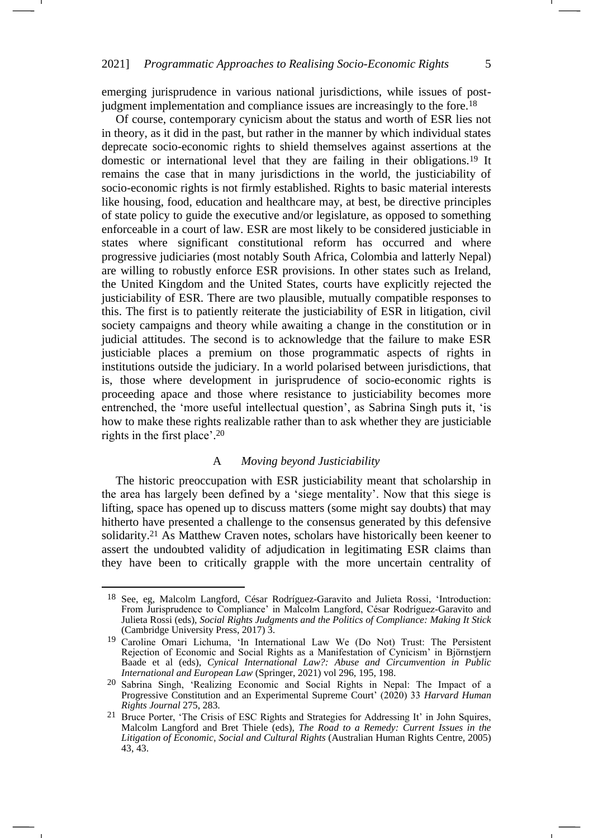emerging jurisprudence in various national jurisdictions, while issues of postjudgment implementation and compliance issues are increasingly to the fore.<sup>18</sup>

Of course, contemporary cynicism about the status and worth of ESR lies not in theory, as it did in the past, but rather in the manner by which individual states deprecate socio-economic rights to shield themselves against assertions at the domestic or international level that they are failing in their obligations.<sup>19</sup> It remains the case that in many jurisdictions in the world, the justiciability of socio-economic rights is not firmly established. Rights to basic material interests like housing, food, education and healthcare may, at best, be directive principles of state policy to guide the executive and/or legislature, as opposed to something enforceable in a court of law. ESR are most likely to be considered justiciable in states where significant constitutional reform has occurred and where progressive judiciaries (most notably South Africa, Colombia and latterly Nepal) are willing to robustly enforce ESR provisions. In other states such as Ireland, the United Kingdom and the United States, courts have explicitly rejected the justiciability of ESR. There are two plausible, mutually compatible responses to this. The first is to patiently reiterate the justiciability of ESR in litigation, civil society campaigns and theory while awaiting a change in the constitution or in judicial attitudes. The second is to acknowledge that the failure to make ESR justiciable places a premium on those programmatic aspects of rights in institutions outside the judiciary. In a world polarised between jurisdictions, that is, those where development in jurisprudence of socio-economic rights is proceeding apace and those where resistance to justiciability becomes more entrenched, the 'more useful intellectual question', as Sabrina Singh puts it, 'is how to make these rights realizable rather than to ask whether they are justiciable rights in the first place'. 20

#### A *Moving beyond Justiciability*

<span id="page-4-0"></span>The historic preoccupation with ESR justiciability meant that scholarship in the area has largely been defined by a 'siege mentality'. Now that this siege is lifting, space has opened up to discuss matters (some might say doubts) that may hitherto have presented a challenge to the consensus generated by this defensive solidarity.<sup>21</sup> As Matthew Craven notes, scholars have historically been keener to assert the undoubted validity of adjudication in legitimating ESR claims than they have been to critically grapple with the more uncertain centrality of

-1

<sup>18</sup> See, eg, Malcolm Langford, César Rodríguez-Garavito and Julieta Rossi, 'Introduction: From Jurisprudence to Compliance' in Malcolm Langford, César Rodríguez-Garavito and Julieta Rossi (eds), *Social Rights Judgments and the Politics of Compliance: Making It Stick* (Cambridge University Press, 2017) 3.

<sup>19</sup> Caroline Omari Lichuma, 'In International Law We (Do Not) Trust: The Persistent Rejection of Economic and Social Rights as a Manifestation of Cynicism' in Björnstjern Baade et al (eds), *Cynical International Law?: Abuse and Circumvention in Public International and European Law* (Springer, 2021) vol 296, 195, 198.

<sup>20</sup> Sabrina Singh, 'Realizing Economic and Social Rights in Nepal: The Impact of a Progressive Constitution and an Experimental Supreme Court' (2020) 33 *Harvard Human Rights Journal* 275, 283.

<sup>&</sup>lt;sup>21</sup> Bruce Porter, 'The Crisis of ESC Rights and Strategies for Addressing It' in John Squires, Malcolm Langford and Bret Thiele (eds), *The Road to a Remedy: Current Issues in the Litigation of Economic, Social and Cultural Rights* (Australian Human Rights Centre, 2005) 43, 43.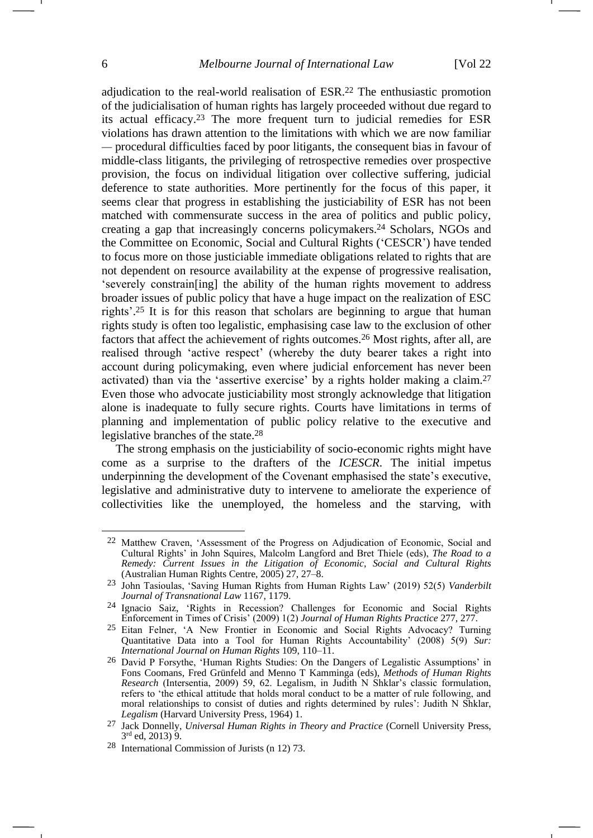<span id="page-5-1"></span><span id="page-5-0"></span>adjudication to the real-world realisation of ESR.<sup>22</sup> The enthusiastic promotion of the judicialisation of human rights has largely proceeded without due regard to its actual efficacy.<sup>23</sup> The more frequent turn to judicial remedies for ESR violations has drawn attention to the limitations with which we are now familiar — procedural difficulties faced by poor litigants, the consequent bias in favour of middle-class litigants, the privileging of retrospective remedies over prospective provision, the focus on individual litigation over collective suffering, judicial deference to state authorities. More pertinently for the focus of this paper, it seems clear that progress in establishing the justiciability of ESR has not been matched with commensurate success in the area of politics and public policy, creating a gap that increasingly concerns policymakers.<sup>24</sup> Scholars, NGOs and the Committee on Economic, Social and Cultural Rights ('CESCR') have tended to focus more on those justiciable immediate obligations related to rights that are not dependent on resource availability at the expense of progressive realisation, 'severely constrain[ing] the ability of the human rights movement to address broader issues of public policy that have a huge impact on the realization of ESC rights'. <sup>25</sup> It is for this reason that scholars are beginning to argue that human rights study is often too legalistic, emphasising case law to the exclusion of other factors that affect the achievement of rights outcomes.<sup>26</sup> Most rights, after all, are realised through 'active respect' (whereby the duty bearer takes a right into account during policymaking, even where judicial enforcement has never been activated) than via the 'assertive exercise' by a rights holder making a claim.<sup>27</sup> Even those who advocate justiciability most strongly acknowledge that litigation alone is inadequate to fully secure rights. Courts have limitations in terms of planning and implementation of public policy relative to the executive and legislative branches of the state.<sup>28</sup>

<span id="page-5-3"></span><span id="page-5-2"></span>The strong emphasis on the justiciability of socio-economic rights might have come as a surprise to the drafters of the *ICESCR*. The initial impetus underpinning the development of the Covenant emphasised the state's executive, legislative and administrative duty to intervene to ameliorate the experience of collectivities like the unemployed, the homeless and the starving, with

<sup>22</sup> Matthew Craven, 'Assessment of the Progress on Adjudication of Economic, Social and Cultural Rights' in John Squires, Malcolm Langford and Bret Thiele (eds), *The Road to a Remedy: Current Issues in the Litigation of Economic, Social and Cultural Rights* (Australian Human Rights Centre, 2005) 27, 27–8.

<sup>23</sup> John Tasioulas, 'Saving Human Rights from Human Rights Law' (2019) 52(5) *Vanderbilt Journal of Transnational Law* 1167, 1179.

<sup>24</sup> Ignacio Saiz, 'Rights in Recession? Challenges for Economic and Social Rights Enforcement in Times of Crisis' (2009) 1(2) *Journal of Human Rights Practice* 277, 277.

<sup>25</sup> Eitan Felner, 'A New Frontier in Economic and Social Rights Advocacy? Turning Quantitative Data into a Tool for Human Rights Accountability' (2008) 5(9) *Sur: International Journal on Human Rights* 109, 110–11.

<sup>26</sup> David P Forsythe, 'Human Rights Studies: On the Dangers of Legalistic Assumptions' in Fons Coomans, Fred Grünfeld and Menno T Kamminga (eds), *Methods of Human Rights Research* (Intersentia, 2009) 59, 62. Legalism, in Judith N Shklar's classic formulation, refers to 'the ethical attitude that holds moral conduct to be a matter of rule following, and moral relationships to consist of duties and rights determined by rules': Judith N Shklar, *Legalism* (Harvard University Press, 1964) 1.

<sup>27</sup> Jack Donnelly, *Universal Human Rights in Theory and Practice* (Cornell University Press, 3 rd ed, 2013) 9.

<sup>28</sup> International Commission of Jurists (n [12\)](#page-3-0) 73.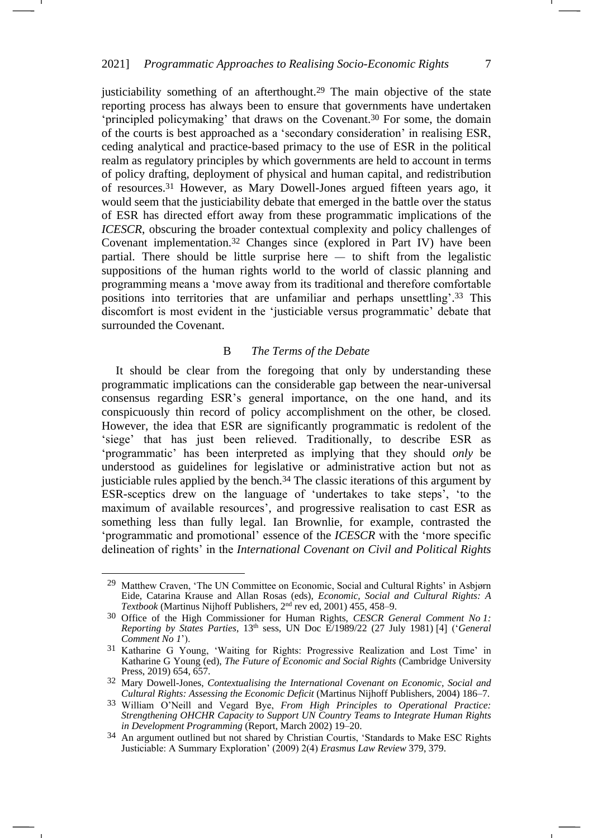justiciability something of an afterthought.<sup>29</sup> The main objective of the state reporting process has always been to ensure that governments have undertaken 'principled policymaking' that draws on the Covenant.<sup>30</sup> For some, the domain of the courts is best approached as a 'secondary consideration' in realising ESR, ceding analytical and practice-based primacy to the use of ESR in the political realm as regulatory principles by which governments are held to account in terms of policy drafting, deployment of physical and human capital, and redistribution of resources.<sup>31</sup> However, as Mary Dowell-Jones argued fifteen years ago, it would seem that the justiciability debate that emerged in the battle over the status of ESR has directed effort away from these programmatic implications of the *ICESCR*, obscuring the broader contextual complexity and policy challenges of Covenant implementation.<sup>32</sup> Changes since (explored in Part IV) have been partial. There should be little surprise here — to shift from the legalistic suppositions of the human rights world to the world of classic planning and programming means a 'move away from its traditional and therefore comfortable positions into territories that are unfamiliar and perhaps unsettling'. <sup>33</sup> This discomfort is most evident in the 'justiciable versus programmatic' debate that surrounded the Covenant.

#### <span id="page-6-0"></span>B *The Terms of the Debate*

It should be clear from the foregoing that only by understanding these programmatic implications can the considerable gap between the near-universal consensus regarding ESR's general importance, on the one hand, and its conspicuously thin record of policy accomplishment on the other, be closed. However, the idea that ESR are significantly programmatic is redolent of the 'siege' that has just been relieved. Traditionally, to describe ESR as 'programmatic' has been interpreted as implying that they should *only* be understood as guidelines for legislative or administrative action but not as justiciable rules applied by the bench.<sup>34</sup> The classic iterations of this argument by ESR-sceptics drew on the language of 'undertakes to take steps', 'to the maximum of available resources', and progressive realisation to cast ESR as something less than fully legal. Ian Brownlie, for example, contrasted the 'programmatic and promotional' essence of the *ICESCR* with the 'more specific delineation of rights' in the *International Covenant on Civil and Political Rights* 

<span id="page-6-1"></span>

-1

<sup>29</sup> Matthew Craven, 'The UN Committee on Economic, Social and Cultural Rights' in Asbjørn Eide, Catarina Krause and Allan Rosas (eds), *Economic, Social and Cultural Rights: A Textbook* (Martinus Nijhoff Publishers, 2<sup>nd</sup> rev ed, 2001) 455, 458–9.

<sup>30</sup> Office of the High Commissioner for Human Rights, *CESCR General Comment No 1: Reporting by States Parties*, 13th sess, UN Doc E/1989/22 (27 July 1981) [4] ('*General Comment No 1*').

<sup>31</sup> Katharine G Young, 'Waiting for Rights: Progressive Realization and Lost Time' in Katharine G Young (ed), *The Future of Economic and Social Rights* (Cambridge University Press, 2019) 654, 657.

<sup>32</sup> Mary Dowell-Jones, *Contextualising the International Covenant on Economic, Social and Cultural Rights: Assessing the Economic Deficit* (Martinus Nijhoff Publishers, 2004) 186–7.

<sup>33</sup> William O'Neill and Vegard Bye, *From High Principles to Operational Practice: Strengthening OHCHR Capacity to Support UN Country Teams to Integrate Human Rights in Development Programming* (Report, March 2002) 19–20.

<sup>&</sup>lt;sup>34</sup> An argument outlined but not shared by Christian Courtis, 'Standards to Make ESC Rights Justiciable: A Summary Exploration' (2009) 2(4) *Erasmus Law Review* 379, 379.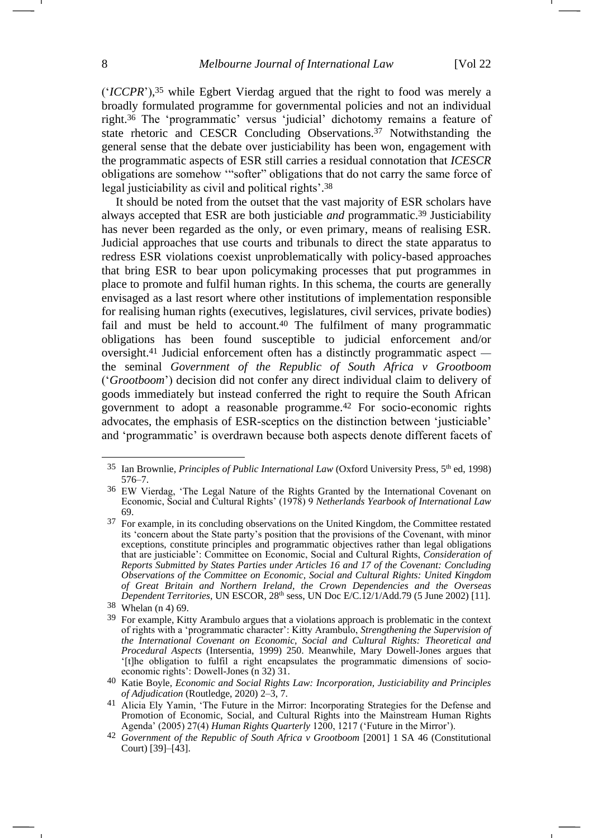<span id="page-7-0"></span>('*ICCPR*'), <sup>35</sup> while Egbert Vierdag argued that the right to food was merely a broadly formulated programme for governmental policies and not an individual right.<sup>36</sup> The 'programmatic' versus 'judicial' dichotomy remains a feature of state rhetoric and CESCR Concluding Observations.<sup>37</sup> Notwithstanding the general sense that the debate over justiciability has been won, engagement with the programmatic aspects of ESR still carries a residual connotation that *ICESCR* obligations are somehow '"softer" obligations that do not carry the same force of legal justiciability as civil and political rights'. 38

It should be noted from the outset that the vast majority of ESR scholars have always accepted that ESR are both justiciable *and* programmatic.<sup>39</sup> Justiciability has never been regarded as the only, or even primary, means of realising ESR. Judicial approaches that use courts and tribunals to direct the state apparatus to redress ESR violations coexist unproblematically with policy-based approaches that bring ESR to bear upon policymaking processes that put programmes in place to promote and fulfil human rights. In this schema, the courts are generally envisaged as a last resort where other institutions of implementation responsible for realising human rights (executives, legislatures, civil services, private bodies) fail and must be held to account.<sup>40</sup> The fulfilment of many programmatic obligations has been found susceptible to judicial enforcement and/or oversight.<sup>41</sup> Judicial enforcement often has a distinctly programmatic aspect the seminal *Government of the Republic of South Africa v Grootboom* ('*Grootboom*') decision did not confer any direct individual claim to delivery of goods immediately but instead conferred the right to require the South African government to adopt a reasonable programme.<sup>42</sup> For socio-economic rights advocates, the emphasis of ESR-sceptics on the distinction between 'justiciable' and 'programmatic' is overdrawn because both aspects denote different facets of

<span id="page-7-2"></span><span id="page-7-1"></span><sup>&</sup>lt;sup>35</sup> Ian Brownlie, *Principles of Public International Law* (Oxford University Press, 5<sup>th</sup> ed, 1998) 576–7.

<sup>36</sup> EW Vierdag, 'The Legal Nature of the Rights Granted by the International Covenant on Economic, Social and Cultural Rights' (1978) 9 *Netherlands Yearbook of International Law* 69.

<sup>37</sup> For example, in its concluding observations on the United Kingdom, the Committee restated its 'concern about the State party's position that the provisions of the Covenant, with minor exceptions, constitute principles and programmatic objectives rather than legal obligations that are justiciable': Committee on Economic, Social and Cultural Rights, *Consideration of Reports Submitted by States Parties under Articles 16 and 17 of the Covenant: Concluding Observations of the Committee on Economic, Social and Cultural Rights: United Kingdom of Great Britain and Northern Ireland, the Crown Dependencies and the Overseas Dependent Territories*, UN ESCOR, 28th sess, UN Doc E/C.12/1/Add.79 (5 June 2002) [11].

<sup>38</sup> Whelan (n [4\)](#page-1-0) 69.

<sup>&</sup>lt;sup>39</sup> For example, Kitty Arambulo argues that a violations approach is problematic in the context of rights with a 'programmatic character': Kitty Arambulo, *Strengthening the Supervision of the International Covenant on Economic, Social and Cultural Rights: Theoretical and Procedural Aspects* (Intersentia, 1999) 250. Meanwhile, Mary Dowell-Jones argues that '[t]he obligation to fulfil a right encapsulates the programmatic dimensions of socioeconomic rights': Dowell-Jones (n [32\)](#page-6-0) 31.

<sup>40</sup> Katie Boyle*, Economic and Social Rights Law: Incorporation, Justiciability and Principles of Adjudication* (Routledge, 2020) 2–3, 7.

<sup>41</sup> Alicia Ely Yamin, 'The Future in the Mirror: Incorporating Strategies for the Defense and Promotion of Economic, Social, and Cultural Rights into the Mainstream Human Rights Agenda' (2005) 27(4) *Human Rights Quarterly* 1200, 1217 ('Future in the Mirror').

<sup>42</sup> *Government of the Republic of South Africa v Grootboom* [2001] 1 SA 46 (Constitutional Court)  $[39]$ – $[43]$ .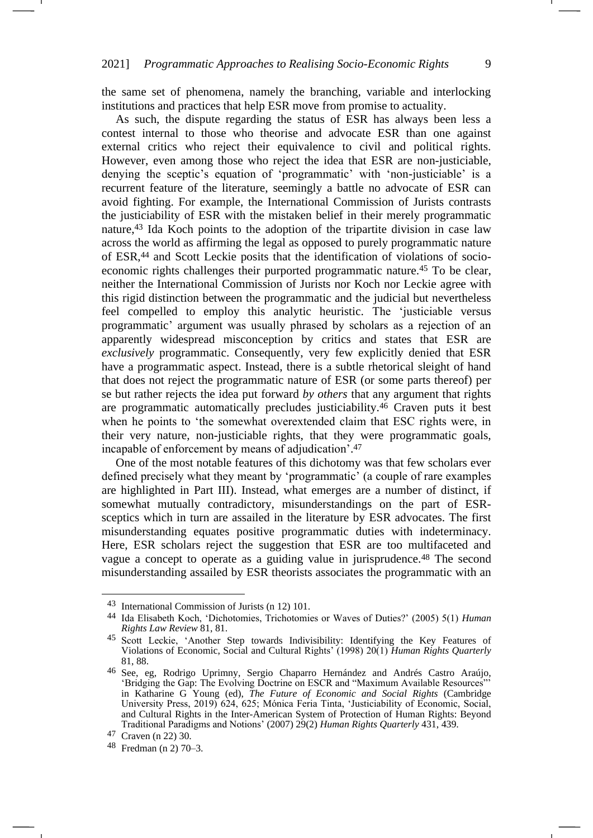the same set of phenomena, namely the branching, variable and interlocking institutions and practices that help ESR move from promise to actuality.

As such, the dispute regarding the status of ESR has always been less a contest internal to those who theorise and advocate ESR than one against external critics who reject their equivalence to civil and political rights. However, even among those who reject the idea that ESR are non-justiciable, denying the sceptic's equation of 'programmatic' with 'non-justiciable' is a recurrent feature of the literature, seemingly a battle no advocate of ESR can avoid fighting. For example, the International Commission of Jurists contrasts the justiciability of ESR with the mistaken belief in their merely programmatic nature,<sup>43</sup> Ida Koch points to the adoption of the tripartite division in case law across the world as affirming the legal as opposed to purely programmatic nature of ESR,<sup>44</sup> and Scott Leckie posits that the identification of violations of socioeconomic rights challenges their purported programmatic nature.<sup>45</sup> To be clear, neither the International Commission of Jurists nor Koch nor Leckie agree with this rigid distinction between the programmatic and the judicial but nevertheless feel compelled to employ this analytic heuristic. The 'justiciable versus programmatic' argument was usually phrased by scholars as a rejection of an apparently widespread misconception by critics and states that ESR are *exclusively* programmatic. Consequently, very few explicitly denied that ESR have a programmatic aspect. Instead, there is a subtle rhetorical sleight of hand that does not reject the programmatic nature of ESR (or some parts thereof) per se but rather rejects the idea put forward *by others* that any argument that rights are programmatic automatically precludes justiciability.<sup>46</sup> Craven puts it best when he points to 'the somewhat overextended claim that ESC rights were, in their very nature, non-justiciable rights, that they were programmatic goals, incapable of enforcement by means of adjudication'. 47

<span id="page-8-0"></span>One of the most notable features of this dichotomy was that few scholars ever defined precisely what they meant by 'programmatic' (a couple of rare examples are highlighted in Part III). Instead, what emerges are a number of distinct, if somewhat mutually contradictory, misunderstandings on the part of ESRsceptics which in turn are assailed in the literature by ESR advocates. The first misunderstanding equates positive programmatic duties with indeterminacy. Here, ESR scholars reject the suggestion that ESR are too multifaceted and vague a concept to operate as a guiding value in jurisprudence.<sup>48</sup> The second misunderstanding assailed by ESR theorists associates the programmatic with an <span id="page-8-1"></span>-1

<sup>43</sup> International Commission of Jurists (n [12\)](#page-3-0) 101.

<sup>44</sup> Ida Elisabeth Koch, 'Dichotomies, Trichotomies or Waves of Duties?' (2005) 5(1) *Human Rights Law Review* 81, 81.

<sup>&</sup>lt;sup>45</sup> Scott Leckie, 'Another Step towards Indivisibility: Identifying the Key Features of Violations of Economic, Social and Cultural Rights' (1998) 20(1) *Human Rights Quarterly* 81, 88.

<sup>46</sup> See, eg, Rodrigo Uprimny, Sergio Chaparro Hernández and Andrés Castro Araújo, 'Bridging the Gap: The Evolving Doctrine on ESCR and "Maximum Available Resources"' in Katharine G Young (ed), *The Future of Economic and Social Rights* (Cambridge University Press, 2019) 624, 625; Mónica Feria Tinta, 'Justiciability of Economic, Social, and Cultural Rights in the Inter-American System of Protection of Human Rights: Beyond Traditional Paradigms and Notions' (2007) 29(2) *Human Rights Quarterly* 431, 439.

<sup>47</sup> Craven (n [22\)](#page-5-0) 30.

<sup>48</sup> Fredman (n [2\)](#page-1-1) 70–3.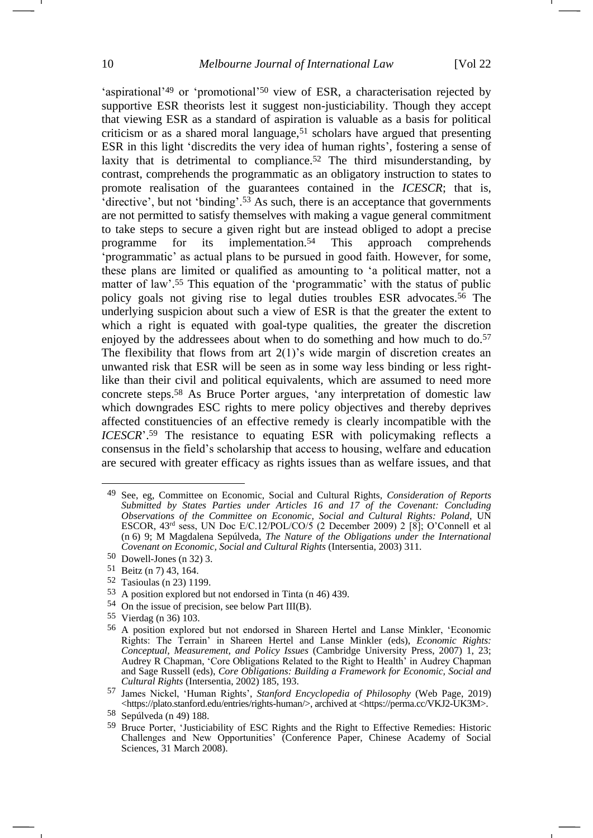<span id="page-9-0"></span>'aspirational'<sup>49</sup> or 'promotional'<sup>50</sup> view of ESR, a characterisation rejected by supportive ESR theorists lest it suggest non-justiciability. Though they accept that viewing ESR as a standard of aspiration is valuable as a basis for political criticism or as a shared moral language,<sup>51</sup> scholars have argued that presenting ESR in this light 'discredits the very idea of human rights', fostering a sense of laxity that is detrimental to compliance.<sup>52</sup> The third misunderstanding, by contrast, comprehends the programmatic as an obligatory instruction to states to promote realisation of the guarantees contained in the *ICESCR*; that is, 'directive', but not 'binding'.<sup>53</sup> As such, there is an acceptance that governments are not permitted to satisfy themselves with making a vague general commitment to take steps to secure a given right but are instead obliged to adopt a precise programme for its implementation.<sup>54</sup> This approach comprehends 'programmatic' as actual plans to be pursued in good faith. However, for some, these plans are limited or qualified as amounting to 'a political matter, not a matter of law'. <sup>55</sup> This equation of the 'programmatic' with the status of public policy goals not giving rise to legal duties troubles ESR advocates.<sup>56</sup> The underlying suspicion about such a view of ESR is that the greater the extent to which a right is equated with goal-type qualities, the greater the discretion enjoyed by the addressees about when to do something and how much to do.<sup>57</sup> The flexibility that flows from art  $2(1)$ 's wide margin of discretion creates an unwanted risk that ESR will be seen as in some way less binding or less rightlike than their civil and political equivalents, which are assumed to need more concrete steps.<sup>58</sup> As Bruce Porter argues, 'any interpretation of domestic law which downgrades ESC rights to mere policy objectives and thereby deprives affected constituencies of an effective remedy is clearly incompatible with the *ICESCR*'.<sup>59</sup> The resistance to equating ESR with policymaking reflects a consensus in the field's scholarship that access to housing, welfare and education are secured with greater efficacy as rights issues than as welfare issues, and that

54 On the issue of precision, see below Part III(B).

<span id="page-9-1"></span><sup>49</sup> See, eg, Committee on Economic, Social and Cultural Rights, *Consideration of Reports Submitted by States Parties under Articles 16 and 17 of the Covenant: Concluding Observations of the Committee on Economic, Social and Cultural Rights: Poland*, UN ESCOR, 43rd sess, UN Doc E/C.12/POL/CO/5 (2 December 2009) 2 [8]; O'Connell et al (n [6\)](#page-2-0) 9; M Magdalena Sepúlveda, *The Nature of the Obligations under the International Covenant on Economic, Social and Cultural Rights* (Intersentia, 2003) 311.

<sup>50</sup> Dowell-Jones (n [32\)](#page-6-0) 3.

<sup>51</sup> Beitz (n [7\)](#page-2-1) 43, 164.

<sup>52</sup> Tasioulas (n [23\)](#page-5-1) 1199.

<sup>53</sup> A position explored but not endorsed in Tinta (n [46\)](#page-8-0) 439.

<sup>55</sup> Vierdag (n [36\)](#page-7-0) 103.

<sup>56</sup> A position explored but not endorsed in Shareen Hertel and Lanse Minkler, 'Economic Rights: The Terrain' in Shareen Hertel and Lanse Minkler (eds), *Economic Rights: Conceptual, Measurement, and Policy Issues* (Cambridge University Press, 2007) 1, 23; Audrey R Chapman, 'Core Obligations Related to the Right to Health' in Audrey Chapman and Sage Russell (eds), *Core Obligations: Building a Framework for Economic, Social and Cultural Rights* (Intersentia, 2002) 185, 193.

<sup>57</sup> James Nickel, 'Human Rights', *Stanford Encyclopedia of Philosophy* (Web Page, 2019) <https://plato.stanford.edu/entries/rights-human/>, archived at <https://perma.cc/VKJ2-UK3M>.

<sup>58</sup> Sepúlveda (n [49\)](#page-9-0) 188.

<sup>59</sup> Bruce Porter, 'Justiciability of ESC Rights and the Right to Effective Remedies: Historic Challenges and New Opportunities' (Conference Paper, Chinese Academy of Social Sciences, 31 March 2008).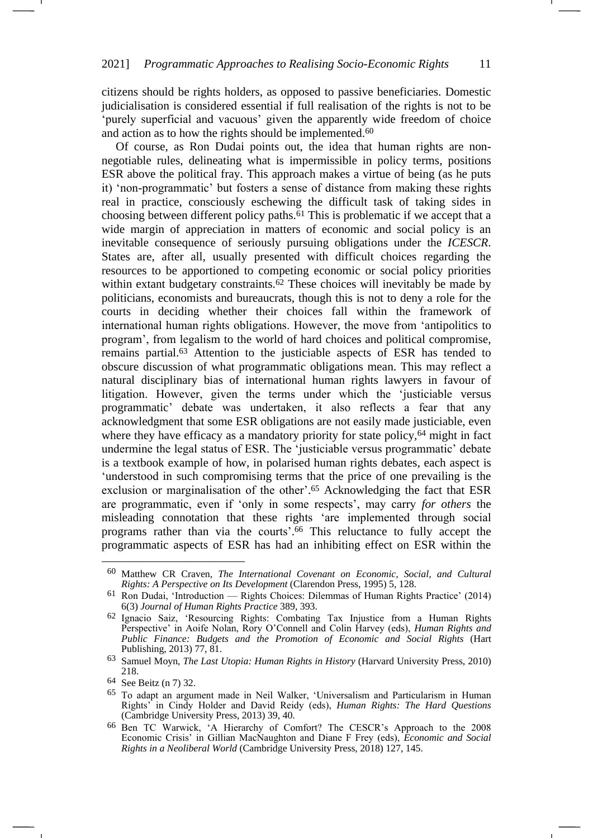citizens should be rights holders, as opposed to passive beneficiaries. Domestic judicialisation is considered essential if full realisation of the rights is not to be 'purely superficial and vacuous' given the apparently wide freedom of choice and action as to how the rights should be implemented.<sup>60</sup>

-1

<span id="page-10-0"></span>Of course, as Ron Dudai points out, the idea that human rights are nonnegotiable rules, delineating what is impermissible in policy terms, positions ESR above the political fray. This approach makes a virtue of being (as he puts it) 'non-programmatic' but fosters a sense of distance from making these rights real in practice, consciously eschewing the difficult task of taking sides in choosing between different policy paths.<sup>61</sup> This is problematic if we accept that a wide margin of appreciation in matters of economic and social policy is an inevitable consequence of seriously pursuing obligations under the *ICESCR*. States are, after all, usually presented with difficult choices regarding the resources to be apportioned to competing economic or social policy priorities within extant budgetary constraints.<sup>62</sup> These choices will inevitably be made by politicians, economists and bureaucrats, though this is not to deny a role for the courts in deciding whether their choices fall within the framework of international human rights obligations. However, the move from 'antipolitics to program', from legalism to the world of hard choices and political compromise, remains partial.<sup>63</sup> Attention to the justiciable aspects of ESR has tended to obscure discussion of what programmatic obligations mean. This may reflect a natural disciplinary bias of international human rights lawyers in favour of litigation. However, given the terms under which the 'justiciable versus programmatic' debate was undertaken, it also reflects a fear that any acknowledgment that some ESR obligations are not easily made justiciable, even where they have efficacy as a mandatory priority for state policy,<sup>64</sup> might in fact undermine the legal status of ESR. The 'justiciable versus programmatic' debate is a textbook example of how, in polarised human rights debates, each aspect is 'understood in such compromising terms that the price of one prevailing is the exclusion or marginalisation of the other'. <sup>65</sup> Acknowledging the fact that ESR are programmatic, even if 'only in some respects', may carry *for others* the misleading connotation that these rights 'are implemented through social programs rather than via the courts'. <sup>66</sup> This reluctance to fully accept the programmatic aspects of ESR has had an inhibiting effect on ESR within the

<sup>60</sup> Matthew CR Craven, *The International Covenant on Economic, Social, and Cultural Rights: A Perspective on Its Development* (Clarendon Press, 1995) 5, 128.

<sup>61</sup> Ron Dudai, 'Introduction — Rights Choices: Dilemmas of Human Rights Practice' (2014) 6(3) *Journal of Human Rights Practice* 389, 393.

<sup>62</sup> Ignacio Saiz, 'Resourcing Rights: Combating Tax Injustice from a Human Rights Perspective' in Aoife Nolan, Rory O'Connell and Colin Harvey (eds), *Human Rights and Public Finance: Budgets and the Promotion of Economic and Social Rights* (Hart Publishing, 2013) 77, 81.

<sup>63</sup> Samuel Moyn, *The Last Utopia: Human Rights in History* (Harvard University Press, 2010) 218.

<sup>64</sup> See Beitz (n [7\)](#page-2-1) 32.

<sup>65</sup> To adapt an argument made in Neil Walker, 'Universalism and Particularism in Human Rights' in Cindy Holder and David Reidy (eds), *Human Rights: The Hard Questions* (Cambridge University Press, 2013) 39, 40.

<sup>66</sup> Ben TC Warwick, 'A Hierarchy of Comfort? The CESCR's Approach to the 2008 Economic Crisis' in Gillian MacNaughton and Diane F Frey (eds), *Economic and Social Rights in a Neoliberal World* (Cambridge University Press, 2018) 127, 145.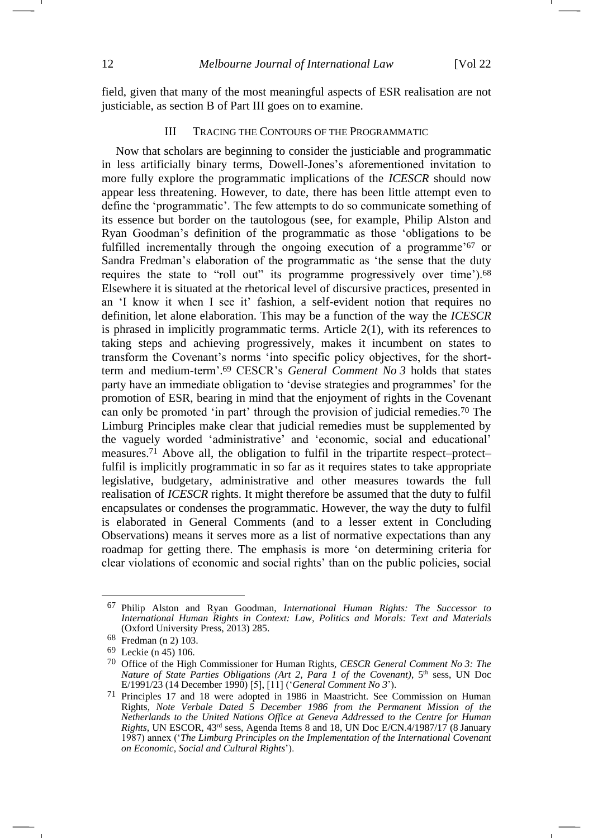field, given that many of the most meaningful aspects of ESR realisation are not justiciable, as section B of Part III goes on to examine.

## III TRACING THE CONTOURS OF THE PROGRAMMATIC

Now that scholars are beginning to consider the justiciable and programmatic in less artificially binary terms, Dowell-Jones's aforementioned invitation to more fully explore the programmatic implications of the *ICESCR* should now appear less threatening. However, to date, there has been little attempt even to define the 'programmatic'. The few attempts to do so communicate something of its essence but border on the tautologous (see, for example, Philip Alston and Ryan Goodman's definition of the programmatic as those 'obligations to be fulfilled incrementally through the ongoing execution of a programme'<sup>67</sup> or Sandra Fredman's elaboration of the programmatic as 'the sense that the duty requires the state to "roll out" its programme progressively over time').<sup>68</sup> Elsewhere it is situated at the rhetorical level of discursive practices, presented in an 'I know it when I see it' fashion, a self-evident notion that requires no definition, let alone elaboration. This may be a function of the way the *ICESCR* is phrased in implicitly programmatic terms. Article 2(1), with its references to taking steps and achieving progressively, makes it incumbent on states to transform the Covenant's norms 'into specific policy objectives, for the shortterm and medium-term'. <sup>69</sup> CESCR's *General Comment No 3* holds that states party have an immediate obligation to 'devise strategies and programmes' for the promotion of ESR, bearing in mind that the enjoyment of rights in the Covenant can only be promoted 'in part' through the provision of judicial remedies.<sup>70</sup> The Limburg Principles make clear that judicial remedies must be supplemented by the vaguely worded 'administrative' and 'economic, social and educational' measures.<sup>71</sup> Above all, the obligation to fulfil in the tripartite respect–protect– fulfil is implicitly programmatic in so far as it requires states to take appropriate legislative, budgetary, administrative and other measures towards the full realisation of *ICESCR* rights. It might therefore be assumed that the duty to fulfil encapsulates or condenses the programmatic. However, the way the duty to fulfil is elaborated in General Comments (and to a lesser extent in Concluding Observations) means it serves more as a list of normative expectations than any roadmap for getting there. The emphasis is more 'on determining criteria for clear violations of economic and social rights' than on the public policies, social

<span id="page-11-0"></span><sup>67</sup> Philip Alston and Ryan Goodman, *International Human Rights: The Successor to International Human Rights in Context: Law, Politics and Morals: Text and Materials* (Oxford University Press, 2013) 285.

<sup>68</sup> Fredman (n [2\)](#page-1-1) 103.

<sup>69</sup> Leckie (n [45\)](#page-8-1) 106.

<sup>70</sup> Office of the High Commissioner for Human Rights, *CESCR General Comment No 3: The Nature of State Parties Obligations (Art 2, Para 1 of the Covenant)*, 5<sup>th</sup> sess, UN Doc E/1991/23 (14 December 1990) [5], [11] ('*General Comment No 3*').

<sup>71</sup> Principles 17 and 18 were adopted in 1986 in Maastricht. See Commission on Human Rights, *Note Verbale Dated 5 December 1986 from the Permanent Mission of the Netherlands to the United Nations Office at Geneva Addressed to the Centre for Human Rights*, UN ESCOR, 43rd sess, Agenda Items 8 and 18, UN Doc E/CN.4/1987/17 (8 January 1987) annex ('*The Limburg Principles on the Implementation of the International Covenant on Economic, Social and Cultural Rights*').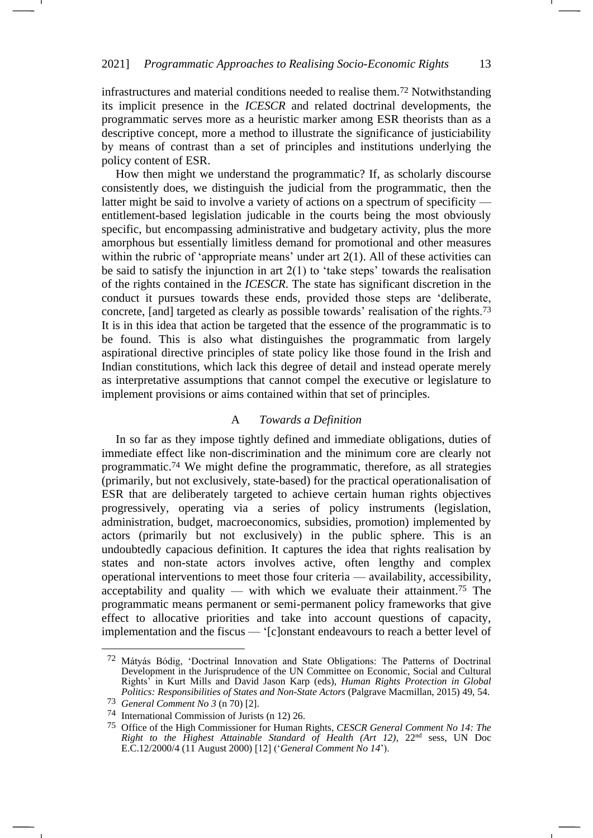infrastructures and material conditions needed to realise them.<sup>72</sup> Notwithstanding its implicit presence in the *ICESCR* and related doctrinal developments, the programmatic serves more as a heuristic marker among ESR theorists than as a descriptive concept, more a method to illustrate the significance of justiciability by means of contrast than a set of principles and institutions underlying the policy content of ESR.

How then might we understand the programmatic? If, as scholarly discourse consistently does, we distinguish the judicial from the programmatic, then the latter might be said to involve a variety of actions on a spectrum of specificity entitlement-based legislation judicable in the courts being the most obviously specific, but encompassing administrative and budgetary activity, plus the more amorphous but essentially limitless demand for promotional and other measures within the rubric of 'appropriate means' under art 2(1). All of these activities can be said to satisfy the injunction in art  $2(1)$  to 'take steps' towards the realisation of the rights contained in the *ICESCR*. The state has significant discretion in the conduct it pursues towards these ends, provided those steps are 'deliberate, concrete, [and] targeted as clearly as possible towards' realisation of the rights.<sup>73</sup> It is in this idea that action be targeted that the essence of the programmatic is to be found. This is also what distinguishes the programmatic from largely aspirational directive principles of state policy like those found in the Irish and Indian constitutions, which lack this degree of detail and instead operate merely as interpretative assumptions that cannot compel the executive or legislature to implement provisions or aims contained within that set of principles.

### <span id="page-12-0"></span>A *Towards a Definition*

In so far as they impose tightly defined and immediate obligations, duties of immediate effect like non-discrimination and the minimum core are clearly not programmatic.<sup>74</sup> We might define the programmatic, therefore, as all strategies (primarily, but not exclusively, state-based) for the practical operationalisation of ESR that are deliberately targeted to achieve certain human rights objectives progressively, operating via a series of policy instruments (legislation, administration, budget, macroeconomics, subsidies, promotion) implemented by actors (primarily but not exclusively) in the public sphere. This is an undoubtedly capacious definition. It captures the idea that rights realisation by states and non-state actors involves active, often lengthy and complex operational interventions to meet those four criteria — availability, accessibility, acceptability and quality — with which we evaluate their attainment.<sup>75</sup> The programmatic means permanent or semi-permanent policy frameworks that give effect to allocative priorities and take into account questions of capacity, implementation and the fiscus — '[c]onstant endeavours to reach a better level of

<sup>72</sup> Mátyás Bódig, 'Doctrinal Innovation and State Obligations: The Patterns of Doctrinal Development in the Jurisprudence of the UN Committee on Economic, Social and Cultural Rights' in Kurt Mills and David Jason Karp (eds), *Human Rights Protection in Global Politics: Responsibilities of States and Non-State Actors* (Palgrave Macmillan, 2015) 49, 54.

<sup>73</sup> *General Comment No 3* (n [70\)](#page-11-0) [2].

<sup>74</sup> International Commission of Jurists (n [12\)](#page-3-0) 26.

<sup>75</sup> Office of the High Commissioner for Human Rights, *CESCR General Comment No 14: The Right to the Highest Attainable Standard of Health (Art 12)*, 22nd sess, UN Doc E.C.12/2000/4 (11 August 2000) [12] ('*General Comment No 14*').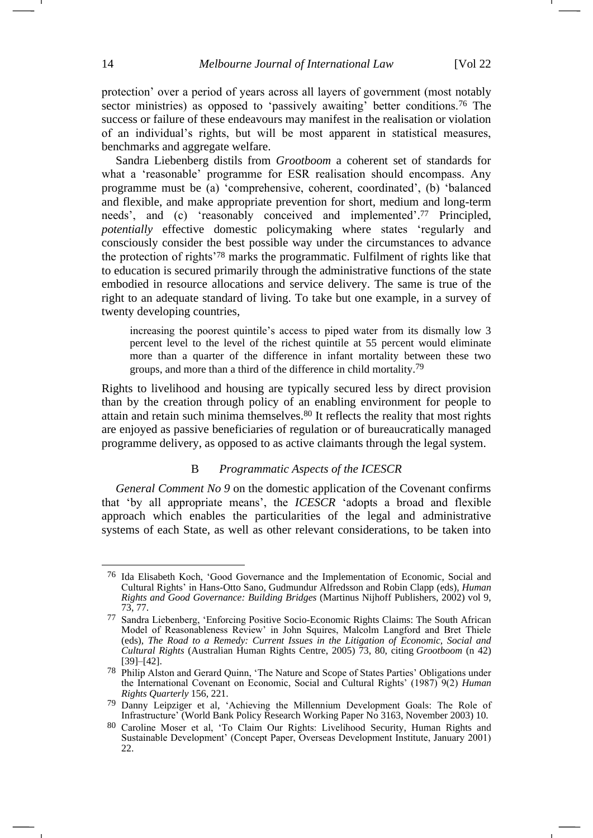<span id="page-13-1"></span>protection' over a period of years across all layers of government (most notably sector ministries) as opposed to 'passively awaiting' better conditions.<sup>76</sup> The success or failure of these endeavours may manifest in the realisation or violation of an individual's rights, but will be most apparent in statistical measures, benchmarks and aggregate welfare.

Sandra Liebenberg distils from *Grootboom* a coherent set of standards for what a 'reasonable' programme for ESR realisation should encompass. Any programme must be (a) 'comprehensive, coherent, coordinated', (b) 'balanced and flexible, and make appropriate prevention for short, medium and long-term needs', and (c) 'reasonably conceived and implemented'. <sup>77</sup> Principled, *potentially* effective domestic policymaking where states 'regularly and consciously consider the best possible way under the circumstances to advance the protection of rights'<sup>78</sup> marks the programmatic. Fulfilment of rights like that to education is secured primarily through the administrative functions of the state embodied in resource allocations and service delivery. The same is true of the right to an adequate standard of living. To take but one example, in a survey of twenty developing countries,

increasing the poorest quintile's access to piped water from its dismally low 3 percent level to the level of the richest quintile at 55 percent would eliminate more than a quarter of the difference in infant mortality between these two groups, and more than a third of the difference in child mortality.<sup>79</sup>

Rights to livelihood and housing are typically secured less by direct provision than by the creation through policy of an enabling environment for people to attain and retain such minima themselves.<sup>80</sup> It reflects the reality that most rights are enjoyed as passive beneficiaries of regulation or of bureaucratically managed programme delivery, as opposed to as active claimants through the legal system.

#### <span id="page-13-0"></span>B *Programmatic Aspects of the ICESCR*

*General Comment No 9* on the domestic application of the Covenant confirms that 'by all appropriate means', the *ICESCR* 'adopts a broad and flexible approach which enables the particularities of the legal and administrative systems of each State, as well as other relevant considerations, to be taken into

<sup>76</sup> Ida Elisabeth Koch, 'Good Governance and the Implementation of Economic, Social and Cultural Rights' in Hans-Otto Sano, Gudmundur Alfredsson and Robin Clapp (eds), *Human Rights and Good Governance: Building Bridges* (Martinus Nijhoff Publishers, 2002) vol 9, 73, 77.

<sup>77</sup> Sandra Liebenberg, 'Enforcing Positive Socio-Economic Rights Claims: The South African Model of Reasonableness Review' in John Squires, Malcolm Langford and Bret Thiele (eds), *The Road to a Remedy: Current Issues in the Litigation of Economic, Social and Cultural Rights* (Australian Human Rights Centre, 2005) 73, 80, citing *Grootboom* (n [42\)](#page-7-1) [39]–[42].

<sup>78</sup> Philip Alston and Gerard Quinn, 'The Nature and Scope of States Parties' Obligations under the International Covenant on Economic, Social and Cultural Rights' (1987) 9(2) *Human Rights Quarterly* 156, 221.

<sup>79</sup> Danny Leipziger et al, 'Achieving the Millennium Development Goals: The Role of Infrastructure' (World Bank Policy Research Working Paper No 3163, November 2003) 10.

<sup>80</sup> Caroline Moser et al, 'To Claim Our Rights: Livelihood Security, Human Rights and Sustainable Development' (Concept Paper, Overseas Development Institute, January 2001) 22.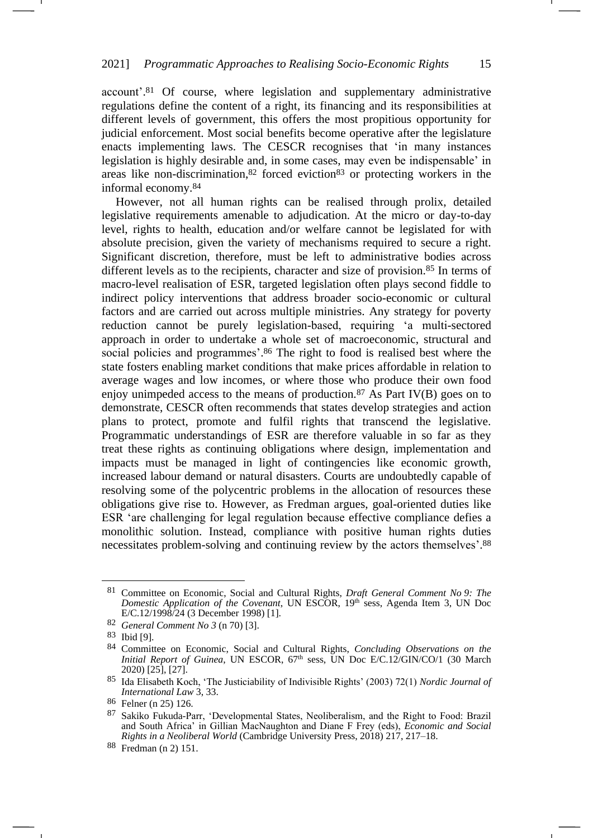account'. <sup>81</sup> Of course, where legislation and supplementary administrative regulations define the content of a right, its financing and its responsibilities at different levels of government, this offers the most propitious opportunity for judicial enforcement. Most social benefits become operative after the legislature enacts implementing laws. The CESCR recognises that 'in many instances legislation is highly desirable and, in some cases, may even be indispensable' in areas like non-discrimination,  $82$  forced eviction  $83$  or protecting workers in the informal economy.<sup>84</sup>

However, not all human rights can be realised through prolix, detailed legislative requirements amenable to adjudication. At the micro or day-to-day level, rights to health, education and/or welfare cannot be legislated for with absolute precision, given the variety of mechanisms required to secure a right. Significant discretion, therefore, must be left to administrative bodies across different levels as to the recipients, character and size of provision.<sup>85</sup> In terms of macro-level realisation of ESR, targeted legislation often plays second fiddle to indirect policy interventions that address broader socio-economic or cultural factors and are carried out across multiple ministries. Any strategy for poverty reduction cannot be purely legislation-based, requiring 'a multi-sectored approach in order to undertake a whole set of macroeconomic, structural and social policies and programmes'. <sup>86</sup> The right to food is realised best where the state fosters enabling market conditions that make prices affordable in relation to average wages and low incomes, or where those who produce their own food enjoy unimpeded access to the means of production.<sup>87</sup> As Part IV(B) goes on to demonstrate, CESCR often recommends that states develop strategies and action plans to protect, promote and fulfil rights that transcend the legislative. Programmatic understandings of ESR are therefore valuable in so far as they treat these rights as continuing obligations where design, implementation and impacts must be managed in light of contingencies like economic growth, increased labour demand or natural disasters. Courts are undoubtedly capable of resolving some of the polycentric problems in the allocation of resources these obligations give rise to. However, as Fredman argues, goal-oriented duties like ESR 'are challenging for legal regulation because effective compliance defies a monolithic solution. Instead, compliance with positive human rights duties necessitates problem-solving and continuing review by the actors themselves'. 88

<sup>81</sup> Committee on Economic, Social and Cultural Rights, *Draft General Comment No 9: The*  Domestic Application of the Covenant, UN ESCOR, 19<sup>th</sup> sess, Agenda Item 3, UN Doc E/C.12/1998/24 (3 December 1998) [1].

<sup>82</sup> *General Comment No 3* (n [70\)](#page-11-0) [3].

<sup>83</sup> Ibid [9].

<sup>84</sup> Committee on Economic, Social and Cultural Rights, *Concluding Observations on the Initial Report of Guinea*, UN ESCOR, 67<sup>th</sup> sess, UN Doc E/C.12/GIN/CO/1 (30 March 2020) [25], [27].

<sup>85</sup> Ida Elisabeth Koch, 'The Justiciability of Indivisible Rights' (2003) 72(1) *Nordic Journal of International Law* 3, 33.

<sup>86</sup> Felner (n [25\)](#page-5-2) 126.

<sup>87</sup> Sakiko Fukuda-Parr, 'Developmental States, Neoliberalism, and the Right to Food: Brazil and South Africa' in Gillian MacNaughton and Diane F Frey (eds), *Economic and Social Rights in a Neoliberal World* (Cambridge University Press, 2018) 217, 217–18.

<sup>88</sup> Fredman (n [2\)](#page-1-1) 151.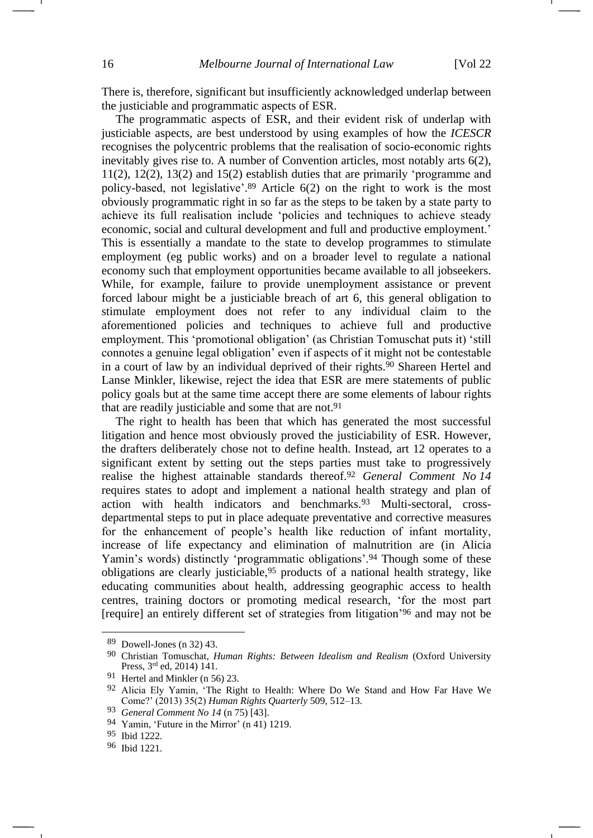There is, therefore, significant but insufficiently acknowledged underlap between the justiciable and programmatic aspects of ESR.

The programmatic aspects of ESR, and their evident risk of underlap with justiciable aspects, are best understood by using examples of how the *ICESCR* recognises the polycentric problems that the realisation of socio-economic rights inevitably gives rise to. A number of Convention articles, most notably arts 6(2), 11(2), 12(2), 13(2) and 15(2) establish duties that are primarily 'programme and policy-based, not legislative'. <sup>89</sup> Article 6(2) on the right to work is the most obviously programmatic right in so far as the steps to be taken by a state party to achieve its full realisation include 'policies and techniques to achieve steady economic, social and cultural development and full and productive employment.' This is essentially a mandate to the state to develop programmes to stimulate employment (eg public works) and on a broader level to regulate a national economy such that employment opportunities became available to all jobseekers. While, for example, failure to provide unemployment assistance or prevent forced labour might be a justiciable breach of art 6, this general obligation to stimulate employment does not refer to any individual claim to the aforementioned policies and techniques to achieve full and productive employment. This 'promotional obligation' (as Christian Tomuschat puts it) 'still connotes a genuine legal obligation' even if aspects of it might not be contestable in a court of law by an individual deprived of their rights.<sup>90</sup> Shareen Hertel and Lanse Minkler, likewise, reject the idea that ESR are mere statements of public policy goals but at the same time accept there are some elements of labour rights that are readily justiciable and some that are not.<sup>91</sup>

The right to health has been that which has generated the most successful litigation and hence most obviously proved the justiciability of ESR. However, the drafters deliberately chose not to define health. Instead, art 12 operates to a significant extent by setting out the steps parties must take to progressively realise the highest attainable standards thereof.<sup>92</sup> *General Comment No 14* requires states to adopt and implement a national health strategy and plan of action with health indicators and benchmarks.<sup>93</sup> Multi-sectoral, crossdepartmental steps to put in place adequate preventative and corrective measures for the enhancement of people's health like reduction of infant mortality, increase of life expectancy and elimination of malnutrition are (in Alicia Yamin's words) distinctly 'programmatic obligations'.<sup>94</sup> Though some of these obligations are clearly justiciable,<sup>95</sup> products of a national health strategy, like educating communities about health, addressing geographic access to health centres, training doctors or promoting medical research, 'for the most part [require] an entirely different set of strategies from litigation'<sup>96</sup> and may not be

<sup>89</sup> Dowell-Jones (n [32\)](#page-6-0) 43.

<sup>90</sup> Christian Tomuschat, *Human Rights: Between Idealism and Realism* (Oxford University Press, 3rd ed, 2014) 141.

<sup>91</sup> Hertel and Minkler (n [56\)](#page-9-1) 23.

<sup>92</sup> Alicia Ely Yamin, 'The Right to Health: Where Do We Stand and How Far Have We Come?' (2013) 35(2) *Human Rights Quarterly* 509, 512–13.

<sup>93</sup> *General Comment No 14* (n [75\)](#page-12-0) [43].

<sup>94</sup> Yamin, 'Future in the Mirror' (n [41\)](#page-7-2) 1219.

<sup>95</sup> Ibid 1222.

<sup>96</sup> Ibid 1221.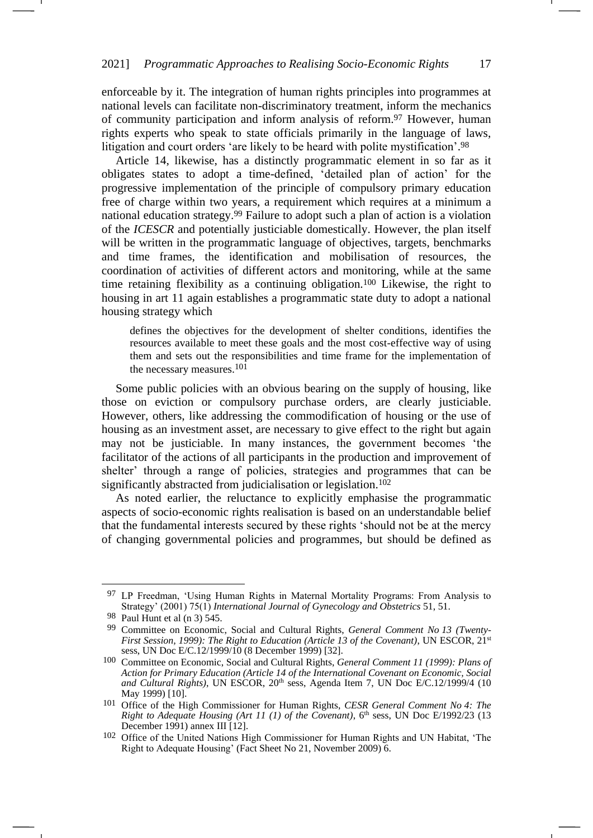<span id="page-16-0"></span>enforceable by it. The integration of human rights principles into programmes at national levels can facilitate non-discriminatory treatment, inform the mechanics of community participation and inform analysis of reform.<sup>97</sup> However, human rights experts who speak to state officials primarily in the language of laws, litigation and court orders 'are likely to be heard with polite mystification'. 98

Article 14, likewise, has a distinctly programmatic element in so far as it obligates states to adopt a time-defined, 'detailed plan of action' for the progressive implementation of the principle of compulsory primary education free of charge within two years, a requirement which requires at a minimum a national education strategy.<sup>99</sup> Failure to adopt such a plan of action is a violation of the *ICESCR* and potentially justiciable domestically. However, the plan itself will be written in the programmatic language of objectives, targets, benchmarks and time frames, the identification and mobilisation of resources, the coordination of activities of different actors and monitoring, while at the same time retaining flexibility as a continuing obligation.<sup>100</sup> Likewise, the right to housing in art 11 again establishes a programmatic state duty to adopt a national housing strategy which

defines the objectives for the development of shelter conditions, identifies the resources available to meet these goals and the most cost-effective way of using them and sets out the responsibilities and time frame for the implementation of the necessary measures.101

Some public policies with an obvious bearing on the supply of housing, like those on eviction or compulsory purchase orders, are clearly justiciable. However, others, like addressing the commodification of housing or the use of housing as an investment asset, are necessary to give effect to the right but again may not be justiciable. In many instances, the government becomes 'the facilitator of the actions of all participants in the production and improvement of shelter' through a range of policies, strategies and programmes that can be significantly abstracted from judicialisation or legislation.<sup>102</sup>

As noted earlier, the reluctance to explicitly emphasise the programmatic aspects of socio-economic rights realisation is based on an understandable belief that the fundamental interests secured by these rights 'should not be at the mercy of changing governmental policies and programmes, but should be defined as

<sup>&</sup>lt;sup>97</sup> LP Freedman, 'Using Human Rights in Maternal Mortality Programs: From Analysis to Strategy' (2001) 75(1) *International Journal of Gynecology and Obstetrics* 51, 51.

<sup>98</sup> Paul Hunt et al (n [3\)](#page-1-2) 545.

<sup>99</sup> Committee on Economic, Social and Cultural Rights, *General Comment No 13 (Twenty-First Session, 1999): The Right to Education (Article 13 of the Covenant)*, UN ESCOR,  $2^{1st}$ sess, UN Doc E/C.12/1999/10 (8 December 1999) [32].

<sup>100</sup> Committee on Economic, Social and Cultural Rights, *General Comment 11 (1999): Plans of Action for Primary Education (Article 14 of the International Covenant on Economic, Social*  and Cultural Rights), UN ESCOR, 20<sup>th</sup> sess, Agenda Item 7, UN Doc E/C.12/1999/4 (10 May 1999) [10].

<sup>101</sup> Office of the High Commissioner for Human Rights, *CESR General Comment No 4: The Right to Adequate Housing (Art 11 (1) of the Covenant)*, 6<sup>th</sup> sess, UN Doc E/1992/23 (13 December 1991) annex III [12].

<sup>102</sup> Office of the United Nations High Commissioner for Human Rights and UN Habitat, 'The Right to Adequate Housing' (Fact Sheet No 21, November 2009) 6.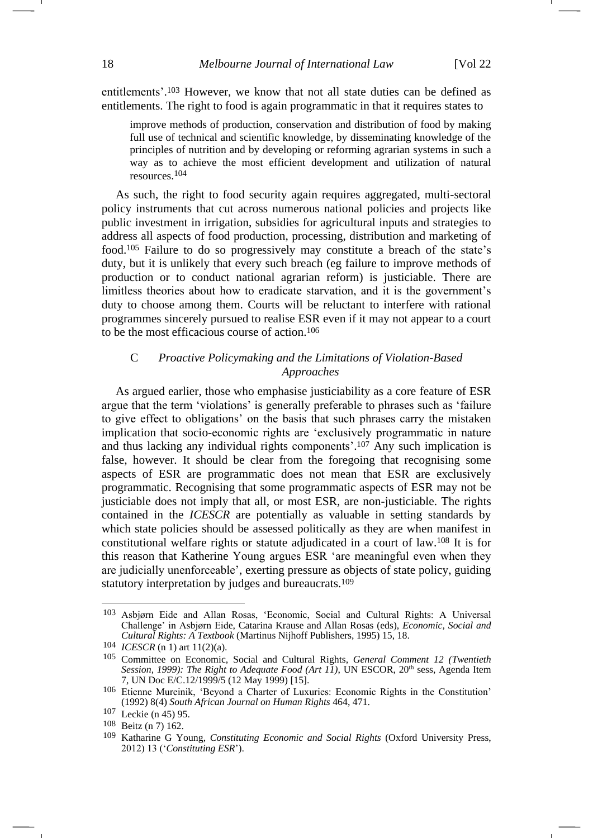entitlements'. <sup>103</sup> However, we know that not all state duties can be defined as entitlements. The right to food is again programmatic in that it requires states to

improve methods of production, conservation and distribution of food by making full use of technical and scientific knowledge, by disseminating knowledge of the principles of nutrition and by developing or reforming agrarian systems in such a way as to achieve the most efficient development and utilization of natural resources.104

As such, the right to food security again requires aggregated, multi-sectoral policy instruments that cut across numerous national policies and projects like public investment in irrigation, subsidies for agricultural inputs and strategies to address all aspects of food production, processing, distribution and marketing of food.<sup>105</sup> Failure to do so progressively may constitute a breach of the state's duty, but it is unlikely that every such breach (eg failure to improve methods of production or to conduct national agrarian reform) is justiciable. There are limitless theories about how to eradicate starvation, and it is the government's duty to choose among them. Courts will be reluctant to interfere with rational programmes sincerely pursued to realise ESR even if it may not appear to a court to be the most efficacious course of action.<sup>106</sup>

## C *Proactive Policymaking and the Limitations of Violation-Based Approaches*

As argued earlier, those who emphasise justiciability as a core feature of ESR argue that the term 'violations' is generally preferable to phrases such as 'failure to give effect to obligations' on the basis that such phrases carry the mistaken implication that socio-economic rights are 'exclusively programmatic in nature and thus lacking any individual rights components'. <sup>107</sup> Any such implication is false, however. It should be clear from the foregoing that recognising some aspects of ESR are programmatic does not mean that ESR are exclusively programmatic. Recognising that some programmatic aspects of ESR may not be justiciable does not imply that all, or most ESR, are non-justiciable. The rights contained in the *ICESCR* are potentially as valuable in setting standards by which state policies should be assessed politically as they are when manifest in constitutional welfare rights or statute adjudicated in a court of law.<sup>108</sup> It is for this reason that Katherine Young argues ESR 'are meaningful even when they are judicially unenforceable', exerting pressure as objects of state policy, guiding statutory interpretation by judges and bureaucrats.<sup>109</sup>

<span id="page-17-0"></span><sup>103</sup> Asbjørn Eide and Allan Rosas, 'Economic, Social and Cultural Rights: A Universal Challenge' in Asbjørn Eide, Catarina Krause and Allan Rosas (eds), *Economic, Social and Cultural Rights: A Textbook* (Martinus Nijhoff Publishers, 1995) 15, 18.

<sup>104</sup> *ICESCR* (n [1\)](#page-1-3) art 11(2)(a).

<sup>105</sup> Committee on Economic, Social and Cultural Rights, *General Comment 12 (Twentieth Session, 1999): The Right to Adequate Food (Art 11)*, UN ESCOR, 20<sup>th</sup> sess, Agenda Item 7, UN Doc E/C.12/1999/5 (12 May 1999) [15].

<sup>106</sup> Etienne Mureinik, 'Beyond a Charter of Luxuries: Economic Rights in the Constitution' (1992) 8(4) *South African Journal on Human Rights* 464, 471.

<sup>107</sup> Leckie (n [45\)](#page-8-1) 95.

<sup>108</sup> Beitz (n [7\)](#page-2-1) 162.

<sup>109</sup> Katharine G Young, *Constituting Economic and Social Rights* (Oxford University Press, 2012) 13 ('*Constituting ESR*').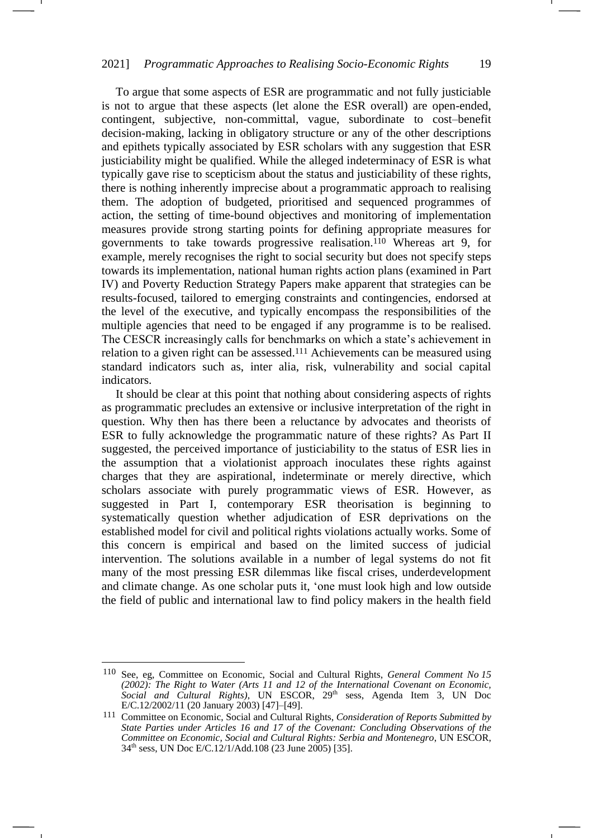To argue that some aspects of ESR are programmatic and not fully justiciable is not to argue that these aspects (let alone the ESR overall) are open-ended, contingent, subjective, non-committal, vague, subordinate to cost–benefit decision-making, lacking in obligatory structure or any of the other descriptions and epithets typically associated by ESR scholars with any suggestion that ESR justiciability might be qualified. While the alleged indeterminacy of ESR is what typically gave rise to scepticism about the status and justiciability of these rights, there is nothing inherently imprecise about a programmatic approach to realising them. The adoption of budgeted, prioritised and sequenced programmes of action, the setting of time-bound objectives and monitoring of implementation measures provide strong starting points for defining appropriate measures for governments to take towards progressive realisation.<sup>110</sup> Whereas art 9, for example, merely recognises the right to social security but does not specify steps towards its implementation, national human rights action plans (examined in Part IV) and Poverty Reduction Strategy Papers make apparent that strategies can be results-focused, tailored to emerging constraints and contingencies, endorsed at the level of the executive, and typically encompass the responsibilities of the multiple agencies that need to be engaged if any programme is to be realised. The CESCR increasingly calls for benchmarks on which a state's achievement in relation to a given right can be assessed.<sup>111</sup> Achievements can be measured using standard indicators such as, inter alia, risk, vulnerability and social capital indicators.

It should be clear at this point that nothing about considering aspects of rights as programmatic precludes an extensive or inclusive interpretation of the right in question. Why then has there been a reluctance by advocates and theorists of ESR to fully acknowledge the programmatic nature of these rights? As Part II suggested, the perceived importance of justiciability to the status of ESR lies in the assumption that a violationist approach inoculates these rights against charges that they are aspirational, indeterminate or merely directive, which scholars associate with purely programmatic views of ESR. However, as suggested in Part I, contemporary ESR theorisation is beginning to systematically question whether adjudication of ESR deprivations on the established model for civil and political rights violations actually works. Some of this concern is empirical and based on the limited success of judicial intervention. The solutions available in a number of legal systems do not fit many of the most pressing ESR dilemmas like fiscal crises, underdevelopment and climate change. As one scholar puts it, 'one must look high and low outside the field of public and international law to find policy makers in the health field

<sup>110</sup> See, eg, Committee on Economic, Social and Cultural Rights, *General Comment No 15 (2002): The Right to Water (Arts 11 and 12 of the International Covenant on Economic, Social and Cultural Rights)*, UN ESCOR, 29th sess, Agenda Item 3, UN Doc E/C.12/2002/11 (20 January 2003) [47]–[49].

<sup>111</sup> Committee on Economic, Social and Cultural Rights, *Consideration of Reports Submitted by State Parties under Articles 16 and 17 of the Covenant: Concluding Observations of the Committee on Economic, Social and Cultural Rights: Serbia and Montenegro*, UN ESCOR, 34th sess, UN Doc E/C.12/1/Add.108 (23 June 2005) [35].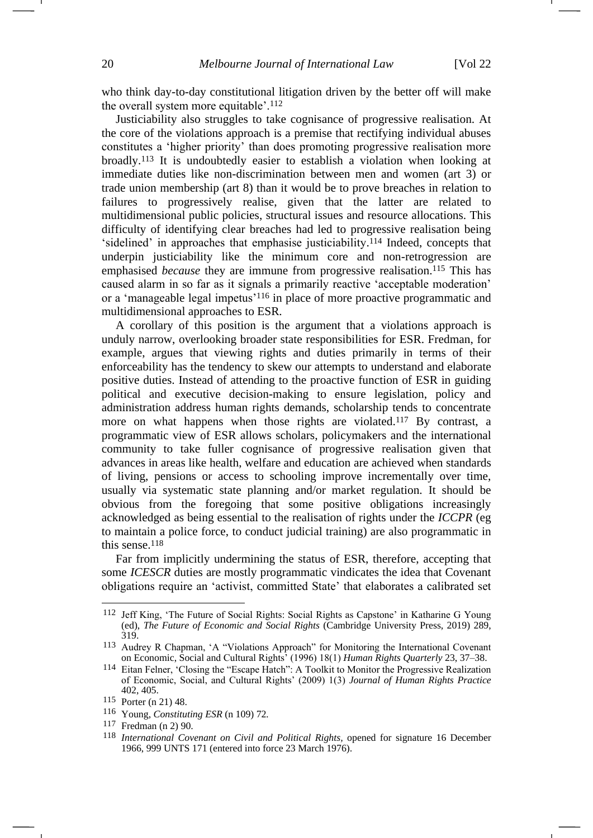<span id="page-19-0"></span>who think day-to-day constitutional litigation driven by the better off will make the overall system more equitable'.<sup>112</sup>

Justiciability also struggles to take cognisance of progressive realisation. At the core of the violations approach is a premise that rectifying individual abuses constitutes a 'higher priority' than does promoting progressive realisation more broadly.<sup>113</sup> It is undoubtedly easier to establish a violation when looking at immediate duties like non-discrimination between men and women (art 3) or trade union membership (art 8) than it would be to prove breaches in relation to failures to progressively realise, given that the latter are related to multidimensional public policies, structural issues and resource allocations. This difficulty of identifying clear breaches had led to progressive realisation being 'sidelined' in approaches that emphasise justiciability. <sup>114</sup> Indeed, concepts that underpin justiciability like the minimum core and non-retrogression are emphasised *because* they are immune from progressive realisation.<sup>115</sup> This has caused alarm in so far as it signals a primarily reactive 'acceptable moderation' or a 'manageable legal impetus'<sup>116</sup> in place of more proactive programmatic and multidimensional approaches to ESR.

<span id="page-19-1"></span>A corollary of this position is the argument that a violations approach is unduly narrow, overlooking broader state responsibilities for ESR. Fredman, for example, argues that viewing rights and duties primarily in terms of their enforceability has the tendency to skew our attempts to understand and elaborate positive duties. Instead of attending to the proactive function of ESR in guiding political and executive decision-making to ensure legislation, policy and administration address human rights demands, scholarship tends to concentrate more on what happens when those rights are violated.<sup>117</sup> By contrast, a programmatic view of ESR allows scholars, policymakers and the international community to take fuller cognisance of progressive realisation given that advances in areas like health, welfare and education are achieved when standards of living, pensions or access to schooling improve incrementally over time, usually via systematic state planning and/or market regulation. It should be obvious from the foregoing that some positive obligations increasingly acknowledged as being essential to the realisation of rights under the *ICCPR* (eg to maintain a police force, to conduct judicial training) are also programmatic in this sense.<sup>118</sup>

Far from implicitly undermining the status of ESR, therefore, accepting that some *ICESCR* duties are mostly programmatic vindicates the idea that Covenant obligations require an 'activist, committed State' that elaborates a calibrated set

<sup>112</sup> Jeff King, 'The Future of Social Rights: Social Rights as Capstone' in Katharine G Young (ed), *The Future of Economic and Social Rights* (Cambridge University Press, 2019) 289, 319.

<sup>113</sup> Audrey R Chapman, 'A "Violations Approach" for Monitoring the International Covenant on Economic, Social and Cultural Rights' (1996) 18(1) *Human Rights Quarterly* 23, 37–38.

<sup>114</sup> Eitan Felner, 'Closing the "Escape Hatch": A Toolkit to Monitor the Progressive Realization of Economic, Social, and Cultural Rights' (2009) 1(3) *Journal of Human Rights Practice* 402, 405.

<sup>115</sup> Porter (n [21\)](#page-4-0) 48.

<sup>116</sup> Young, *Constituting ESR* (n [109\)](#page-17-0) 72*.*

<sup>117</sup> Fredman (n [2\)](#page-1-1) 90.

<sup>118</sup> *International Covenant on Civil and Political Rights,* opened for signature 16 December 1966, 999 UNTS 171 (entered into force 23 March 1976).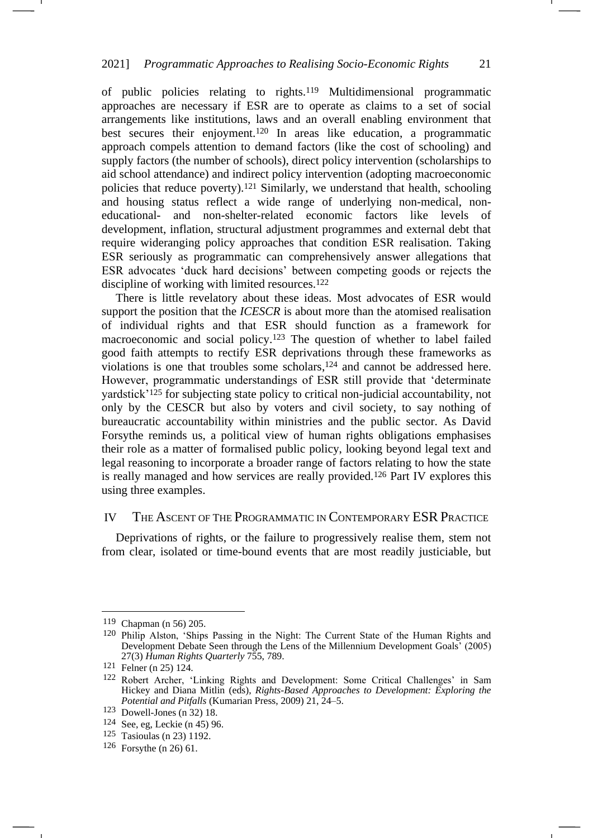of public policies relating to rights.<sup>119</sup> Multidimensional programmatic approaches are necessary if ESR are to operate as claims to a set of social arrangements like institutions, laws and an overall enabling environment that best secures their enjoyment.<sup>120</sup> In areas like education, a programmatic approach compels attention to demand factors (like the cost of schooling) and supply factors (the number of schools), direct policy intervention (scholarships to aid school attendance) and indirect policy intervention (adopting macroeconomic policies that reduce poverty).<sup>121</sup> Similarly, we understand that health, schooling and housing status reflect a wide range of underlying non-medical, noneducational- and non-shelter-related economic factors like levels of development, inflation, structural adjustment programmes and external debt that require wideranging policy approaches that condition ESR realisation. Taking ESR seriously as programmatic can comprehensively answer allegations that ESR advocates 'duck hard decisions' between competing goods or rejects the discipline of working with limited resources.<sup>122</sup>

There is little revelatory about these ideas. Most advocates of ESR would support the position that the *ICESCR* is about more than the atomised realisation of individual rights and that ESR should function as a framework for macroeconomic and social policy.<sup>123</sup> The question of whether to label failed good faith attempts to rectify ESR deprivations through these frameworks as violations is one that troubles some scholars, <sup>124</sup> and cannot be addressed here. However, programmatic understandings of ESR still provide that 'determinate yardstick'<sup>125</sup> for subjecting state policy to critical non-judicial accountability, not only by the CESCR but also by voters and civil society, to say nothing of bureaucratic accountability within ministries and the public sector. As David Forsythe reminds us, a political view of human rights obligations emphasises their role as a matter of formalised public policy, looking beyond legal text and legal reasoning to incorporate a broader range of factors relating to how the state is really managed and how services are really provided.<sup>126</sup> Part IV explores this using three examples.

### IV THE ASCENT OF THE PROGRAMMATIC IN CONTEMPORARY ESR PRACTICE

Deprivations of rights, or the failure to progressively realise them, stem not from clear, isolated or time-bound events that are most readily justiciable, but

<sup>119</sup> Chapman (n [56\)](#page-9-1) 205.

<sup>120</sup> Philip Alston, 'Ships Passing in the Night: The Current State of the Human Rights and Development Debate Seen through the Lens of the Millennium Development Goals' (2005) 27(3) *Human Rights Quarterly* 755, 789.

<sup>121</sup> Felner (n [25\)](#page-5-2) 124.

<sup>122</sup> Robert Archer, 'Linking Rights and Development: Some Critical Challenges' in Sam Hickey and Diana Mitlin (eds), *Rights-Based Approaches to Development: Exploring the Potential and Pitfalls* (Kumarian Press, 2009) 21, 24–5.

<sup>123</sup> Dowell-Jones (n [32\)](#page-6-0) 18.

<sup>124</sup> See, eg, Leckie (n [45\)](#page-8-1) 96.

<sup>125</sup> Tasioulas (n [23\)](#page-5-1) 1192.

<sup>126</sup> Forsythe (n [26\)](#page-5-3) 61.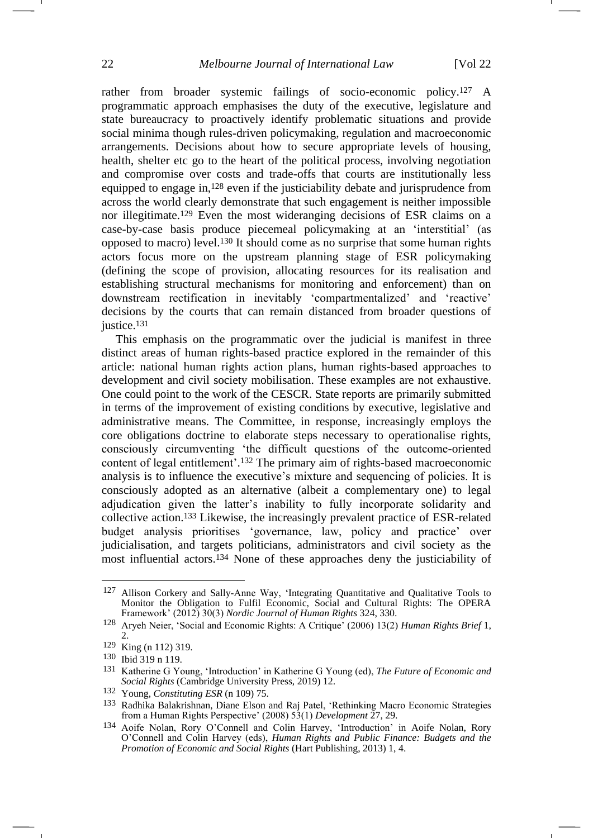rather from broader systemic failings of socio-economic policy.<sup>127</sup> A programmatic approach emphasises the duty of the executive, legislature and state bureaucracy to proactively identify problematic situations and provide social minima though rules-driven policymaking, regulation and macroeconomic arrangements. Decisions about how to secure appropriate levels of housing, health, shelter etc go to the heart of the political process, involving negotiation and compromise over costs and trade-offs that courts are institutionally less equipped to engage in,<sup>128</sup> even if the justiciability debate and jurisprudence from across the world clearly demonstrate that such engagement is neither impossible nor illegitimate.<sup>129</sup> Even the most wideranging decisions of ESR claims on a case-by-case basis produce piecemeal policymaking at an 'interstitial' (as opposed to macro) level.<sup>130</sup> It should come as no surprise that some human rights actors focus more on the upstream planning stage of ESR policymaking (defining the scope of provision, allocating resources for its realisation and establishing structural mechanisms for monitoring and enforcement) than on downstream rectification in inevitably 'compartmentalized' and 'reactive' decisions by the courts that can remain distanced from broader questions of justice.<sup>131</sup>

This emphasis on the programmatic over the judicial is manifest in three distinct areas of human rights-based practice explored in the remainder of this article: national human rights action plans, human rights-based approaches to development and civil society mobilisation. These examples are not exhaustive. One could point to the work of the CESCR. State reports are primarily submitted in terms of the improvement of existing conditions by executive, legislative and administrative means. The Committee, in response, increasingly employs the core obligations doctrine to elaborate steps necessary to operationalise rights, consciously circumventing 'the difficult questions of the outcome-oriented content of legal entitlement'. <sup>132</sup> The primary aim of rights-based macroeconomic analysis is to influence the executive's mixture and sequencing of policies. It is consciously adopted as an alternative (albeit a complementary one) to legal adjudication given the latter's inability to fully incorporate solidarity and collective action.<sup>133</sup> Likewise, the increasingly prevalent practice of ESR-related budget analysis prioritises 'governance, law, policy and practice' over judicialisation, and targets politicians, administrators and civil society as the most influential actors.<sup>134</sup> None of these approaches deny the justiciability of

<sup>127</sup> Allison Corkery and Sally-Anne Way, 'Integrating Quantitative and Qualitative Tools to Monitor the Obligation to Fulfil Economic, Social and Cultural Rights: The OPERA Framework' (2012) 30(3) *Nordic Journal of Human Rights* 324, 330.

<sup>128</sup> Aryeh Neier, 'Social and Economic Rights: A Critique' (2006) 13(2) *Human Rights Brief* 1, 2.

<sup>129</sup> King (n [112\)](#page-19-0) 319.

<sup>130</sup> Ibid 319 n 119.

<sup>131</sup> Katherine G Young, 'Introduction' in Katherine G Young (ed), *The Future of Economic and Social Rights* (Cambridge University Press, 2019) 12.

<sup>132</sup> Young, *Constituting ESR* (n [109\)](#page-17-0) 75.

<sup>133</sup> Radhika Balakrishnan, Diane Elson and Raj Patel, 'Rethinking Macro Economic Strategies from a Human Rights Perspective' (2008) 53(1) *Development* 27, 29.

<sup>134</sup> Aoife Nolan, Rory O'Connell and Colin Harvey, 'Introduction' in Aoife Nolan, Rory O'Connell and Colin Harvey (eds), *Human Rights and Public Finance: Budgets and the Promotion of Economic and Social Rights* (Hart Publishing, 2013) 1, 4.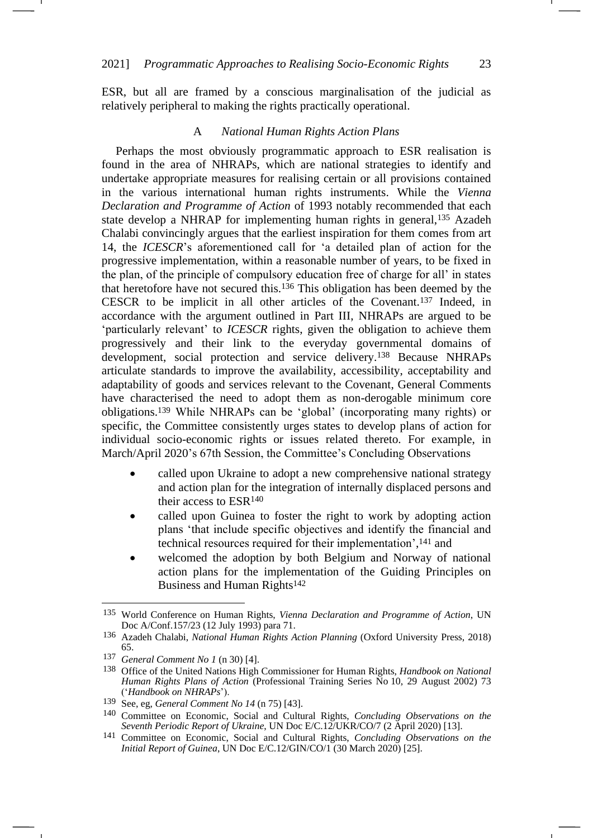ESR, but all are framed by a conscious marginalisation of the judicial as relatively peripheral to making the rights practically operational.

#### <span id="page-22-1"></span>A *National Human Rights Action Plans*

Perhaps the most obviously programmatic approach to ESR realisation is found in the area of NHRAPs, which are national strategies to identify and undertake appropriate measures for realising certain or all provisions contained in the various international human rights instruments. While the *Vienna Declaration and Programme of Action* of 1993 notably recommended that each state develop a NHRAP for implementing human rights in general,<sup>135</sup> Azadeh Chalabi convincingly argues that the earliest inspiration for them comes from art 14, the *ICESCR*'s aforementioned call for 'a detailed plan of action for the progressive implementation, within a reasonable number of years, to be fixed in the plan, of the principle of compulsory education free of charge for all' in states that heretofore have not secured this.<sup>136</sup> This obligation has been deemed by the CESCR to be implicit in all other articles of the Covenant.<sup>137</sup> Indeed, in accordance with the argument outlined in Part III, NHRAPs are argued to be 'particularly relevant' to *ICESCR* rights, given the obligation to achieve them progressively and their link to the everyday governmental domains of development, social protection and service delivery.<sup>138</sup> Because NHRAPs articulate standards to improve the availability, accessibility, acceptability and adaptability of goods and services relevant to the Covenant, General Comments have characterised the need to adopt them as non-derogable minimum core obligations.<sup>139</sup> While NHRAPs can be 'global' (incorporating many rights) or specific, the Committee consistently urges states to develop plans of action for individual socio-economic rights or issues related thereto. For example, in March/April 2020's 67th Session, the Committee's Concluding Observations

- <span id="page-22-0"></span>• called upon Ukraine to adopt a new comprehensive national strategy and action plan for the integration of internally displaced persons and their access to ESR<sup>140</sup>
- called upon Guinea to foster the right to work by adopting action plans 'that include specific objectives and identify the financial and technical resources required for their implementation', <sup>141</sup> and
- welcomed the adoption by both Belgium and Norway of national action plans for the implementation of the Guiding Principles on Business and Human Rights<sup>142</sup>

-1

<sup>135</sup> World Conference on Human Rights, *Vienna Declaration and Programme of Action*, UN Doc A/Conf.157/23 (12 July 1993) para 71.

<sup>136</sup> Azadeh Chalabi, *National Human Rights Action Planning* (Oxford University Press, 2018) 65.

<sup>137</sup> *General Comment No 1* (n [30\)](#page-6-1) [4].

<sup>138</sup> Office of the United Nations High Commissioner for Human Rights, *Handbook on National Human Rights Plans of Action* (Professional Training Series No 10, 29 August 2002) 73 ('*Handbook on NHRAPs*').

<sup>139</sup> See, eg, *General Comment No 14* (n [75\)](#page-12-0) [43].

<sup>140</sup> Committee on Economic, Social and Cultural Rights, *Concluding Observations on the Seventh Periodic Report of Ukraine*, UN Doc E/C.12/UKR/CO/7 (2 April 2020) [13].

<sup>141</sup> Committee on Economic, Social and Cultural Rights, *Concluding Observations on the Initial Report of Guinea*, UN Doc E/C.12/GIN/CO/1 (30 March 2020) [25].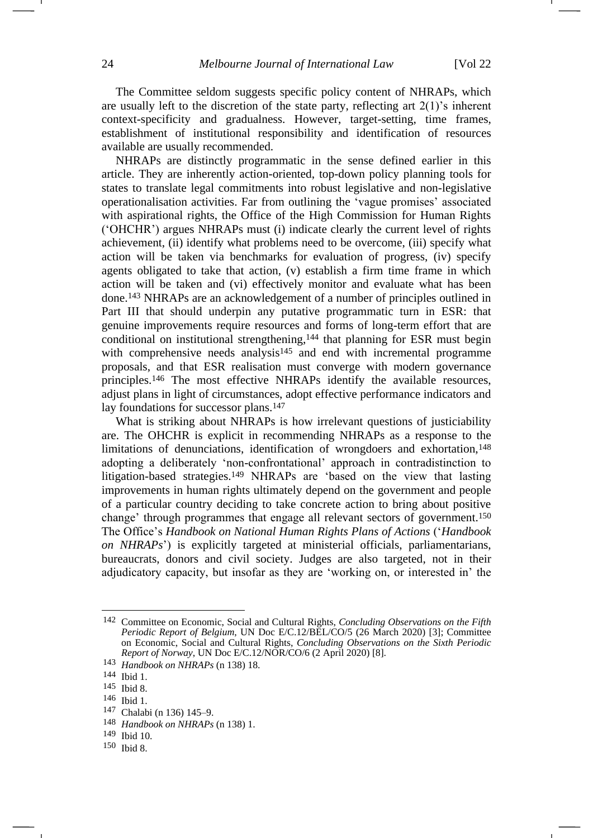The Committee seldom suggests specific policy content of NHRAPs, which are usually left to the discretion of the state party, reflecting art  $2(1)$ 's inherent context-specificity and gradualness. However, target-setting, time frames, establishment of institutional responsibility and identification of resources available are usually recommended.

NHRAPs are distinctly programmatic in the sense defined earlier in this article. They are inherently action-oriented, top-down policy planning tools for states to translate legal commitments into robust legislative and non-legislative operationalisation activities. Far from outlining the 'vague promises' associated with aspirational rights, the Office of the High Commission for Human Rights ('OHCHR') argues NHRAPs must (i) indicate clearly the current level of rights achievement, (ii) identify what problems need to be overcome, (iii) specify what action will be taken via benchmarks for evaluation of progress, (iv) specify agents obligated to take that action, (v) establish a firm time frame in which action will be taken and (vi) effectively monitor and evaluate what has been done.<sup>143</sup> NHRAPs are an acknowledgement of a number of principles outlined in Part III that should underpin any putative programmatic turn in ESR: that genuine improvements require resources and forms of long-term effort that are conditional on institutional strengthening,<sup>144</sup> that planning for ESR must begin with comprehensive needs analysis<sup>145</sup> and end with incremental programme proposals, and that ESR realisation must converge with modern governance principles.<sup>146</sup> The most effective NHRAPs identify the available resources, adjust plans in light of circumstances, adopt effective performance indicators and lay foundations for successor plans.<sup>147</sup>

What is striking about NHRAPs is how irrelevant questions of justiciability are. The OHCHR is explicit in recommending NHRAPs as a response to the limitations of denunciations, identification of wrongdoers and exhortation,<sup>148</sup> adopting a deliberately 'non-confrontational' approach in contradistinction to litigation-based strategies.<sup>149</sup> NHRAPs are 'based on the view that lasting improvements in human rights ultimately depend on the government and people of a particular country deciding to take concrete action to bring about positive change' through programmes that engage all relevant sectors of government.<sup>150</sup> The Office's *Handbook on National Human Rights Plans of Actions* ('*Handbook on NHRAPs*') is explicitly targeted at ministerial officials, parliamentarians, bureaucrats, donors and civil society. Judges are also targeted, not in their adjudicatory capacity, but insofar as they are 'working on, or interested in' the

146 Ibid 1.

<sup>142</sup> Committee on Economic, Social and Cultural Rights, *Concluding Observations on the Fifth Periodic Report of Belgium*, UN Doc E/C.12/BEL/CO/5 (26 March 2020) [3]; Committee on Economic, Social and Cultural Rights, *Concluding Observations on the Sixth Periodic Report of Norway*, UN Doc E/C.12/NOR/CO/6 (2 April 2020) [8].

<sup>143</sup> *Handbook on NHRAPs* (n [138\)](#page-22-0) 18.

<sup>144</sup> Ibid 1.

<sup>145</sup> Ibid 8.

<sup>147</sup> Chalabi (n [136\)](#page-22-1) 145–9.

<sup>148</sup> *Handbook on NHRAPs* (n [138\)](#page-22-0) 1.

<sup>149</sup> Ibid 10.

<sup>150</sup> Ibid 8.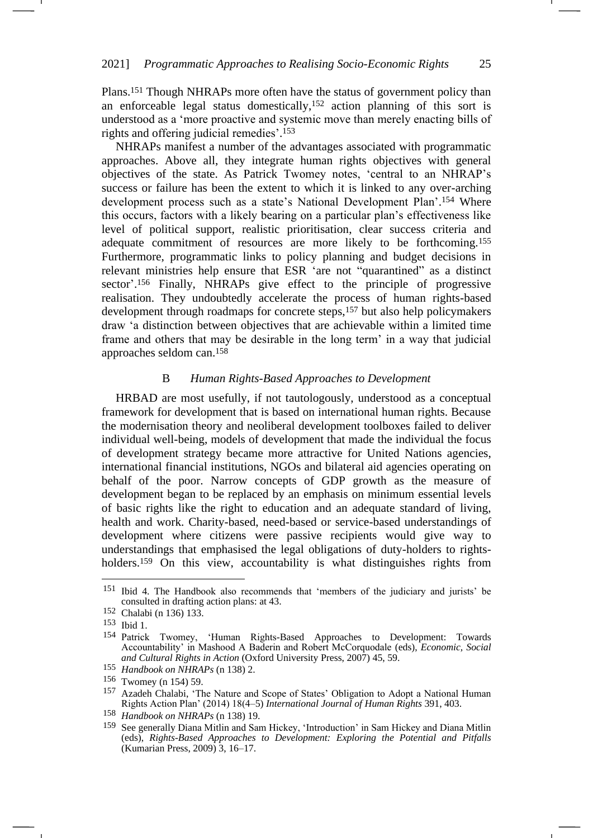Plans.<sup>151</sup> Though NHRAPs more often have the status of government policy than an enforceable legal status domestically,<sup>152</sup> action planning of this sort is understood as a 'more proactive and systemic move than merely enacting bills of rights and offering judicial remedies'. 153

<span id="page-24-0"></span>-1

NHRAPs manifest a number of the advantages associated with programmatic approaches. Above all, they integrate human rights objectives with general objectives of the state. As Patrick Twomey notes, 'central to an NHRAP's success or failure has been the extent to which it is linked to any over-arching development process such as a state's National Development Plan'. <sup>154</sup> Where this occurs, factors with a likely bearing on a particular plan's effectiveness like level of political support, realistic prioritisation, clear success criteria and adequate commitment of resources are more likely to be forthcoming.<sup>155</sup> Furthermore, programmatic links to policy planning and budget decisions in relevant ministries help ensure that ESR 'are not "quarantined" as a distinct sector'. <sup>156</sup> Finally, NHRAPs give effect to the principle of progressive realisation. They undoubtedly accelerate the process of human rights-based development through roadmaps for concrete steps,<sup>157</sup> but also help policymakers draw 'a distinction between objectives that are achievable within a limited time frame and others that may be desirable in the long term' in a way that judicial approaches seldom can.<sup>158</sup>

## <span id="page-24-1"></span>B *Human Rights-Based Approaches to Development*

HRBAD are most usefully, if not tautologously, understood as a conceptual framework for development that is based on international human rights. Because the modernisation theory and neoliberal development toolboxes failed to deliver individual well-being, models of development that made the individual the focus of development strategy became more attractive for United Nations agencies, international financial institutions, NGOs and bilateral aid agencies operating on behalf of the poor. Narrow concepts of GDP growth as the measure of development began to be replaced by an emphasis on minimum essential levels of basic rights like the right to education and an adequate standard of living, health and work. Charity-based, need-based or service-based understandings of development where citizens were passive recipients would give way to understandings that emphasised the legal obligations of duty-holders to rightsholders.<sup>159</sup> On this view, accountability is what distinguishes rights from

<sup>151</sup> Ibid 4. The Handbook also recommends that 'members of the judiciary and jurists' be consulted in drafting action plans: at 43.

<sup>152</sup> Chalabi (n [136\)](#page-22-1) 133.

<sup>153</sup> Ibid 1.

<sup>154</sup> Patrick Twomey, 'Human Rights-Based Approaches to Development: Towards Accountability' in Mashood A Baderin and Robert McCorquodale (eds), *Economic, Social and Cultural Rights in Action* (Oxford University Press, 2007) 45, 59.

<sup>155</sup> *Handbook on NHRAPs* (n [138\)](#page-22-0) 2.

<sup>156</sup> Twomey (n [154\)](#page-24-0) 59.

<sup>157</sup> Azadeh Chalabi, 'The Nature and Scope of States' Obligation to Adopt a National Human Rights Action Plan' (2014) 18(4–5) *International Journal of Human Rights* 391, 403.

<sup>158</sup> *Handbook on NHRAPs* (n [138\)](#page-22-0) 19.

<sup>159</sup> See generally Diana Mitlin and Sam Hickey, 'Introduction' in Sam Hickey and Diana Mitlin (eds), *Rights-Based Approaches to Development: Exploring the Potential and Pitfalls* (Kumarian Press, 2009) 3, 16–17.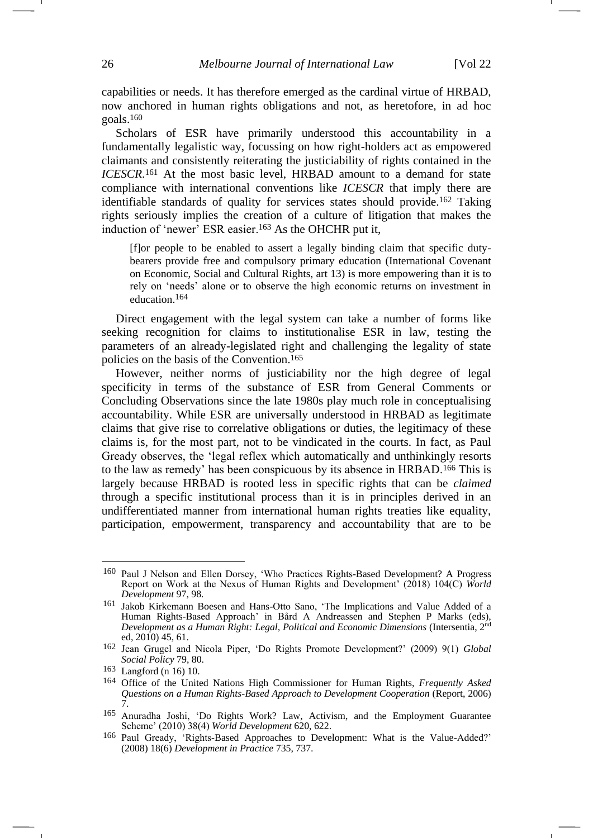capabilities or needs. It has therefore emerged as the cardinal virtue of HRBAD, now anchored in human rights obligations and not, as heretofore, in ad hoc goals.<sup>160</sup>

Scholars of ESR have primarily understood this accountability in a fundamentally legalistic way, focussing on how right-holders act as empowered claimants and consistently reiterating the justiciability of rights contained in the *ICESCR*. <sup>161</sup> At the most basic level, HRBAD amount to a demand for state compliance with international conventions like *ICESCR* that imply there are identifiable standards of quality for services states should provide.<sup>162</sup> Taking rights seriously implies the creation of a culture of litigation that makes the induction of 'newer' ESR easier.<sup>163</sup> As the OHCHR put it,

[f]or people to be enabled to assert a legally binding claim that specific dutybearers provide free and compulsory primary education (International Covenant on Economic, Social and Cultural Rights, art 13) is more empowering than it is to rely on 'needs' alone or to observe the high economic returns on investment in education.164

Direct engagement with the legal system can take a number of forms like seeking recognition for claims to institutionalise ESR in law, testing the parameters of an already-legislated right and challenging the legality of state policies on the basis of the Convention.<sup>165</sup>

<span id="page-25-0"></span>However, neither norms of justiciability nor the high degree of legal specificity in terms of the substance of ESR from General Comments or Concluding Observations since the late 1980s play much role in conceptualising accountability. While ESR are universally understood in HRBAD as legitimate claims that give rise to correlative obligations or duties, the legitimacy of these claims is, for the most part, not to be vindicated in the courts. In fact, as Paul Gready observes, the 'legal reflex which automatically and unthinkingly resorts to the law as remedy' has been conspicuous by its absence in HRBAD.<sup>166</sup> This is largely because HRBAD is rooted less in specific rights that can be *claimed* through a specific institutional process than it is in principles derived in an undifferentiated manner from international human rights treaties like equality, participation, empowerment, transparency and accountability that are to be

<sup>160</sup> Paul J Nelson and Ellen Dorsey, 'Who Practices Rights-Based Development? A Progress Report on Work at the Nexus of Human Rights and Development' (2018) 104(C) *World Development* 97, 98.

<sup>161</sup> Jakob Kirkemann Boesen and Hans-Otto Sano, 'The Implications and Value Added of a Human Rights-Based Approach' in Bård A Andreassen and Stephen P Marks (eds), *Development as a Human Right: Legal, Political and Economic Dimensions* (Intersentia, 2nd ed, 2010) 45, 61.

<sup>162</sup> Jean Grugel and Nicola Piper, 'Do Rights Promote Development?' (2009) 9(1) *Global Social Policy* 79, 80.

<sup>163</sup> Langford (n [16\)](#page-3-1) 10.

<sup>164</sup> Office of the United Nations High Commissioner for Human Rights, *Frequently Asked Questions on a Human Rights-Based Approach to Development Cooperation* (Report, 2006) 7.

<sup>165</sup> Anuradha Joshi, 'Do Rights Work? Law, Activism, and the Employment Guarantee Scheme' (2010) 38(4) *World Development* 620, 622.

<sup>166</sup> Paul Gready, 'Rights-Based Approaches to Development: What is the Value-Added?' (2008) 18(6) *Development in Practice* 735, 737.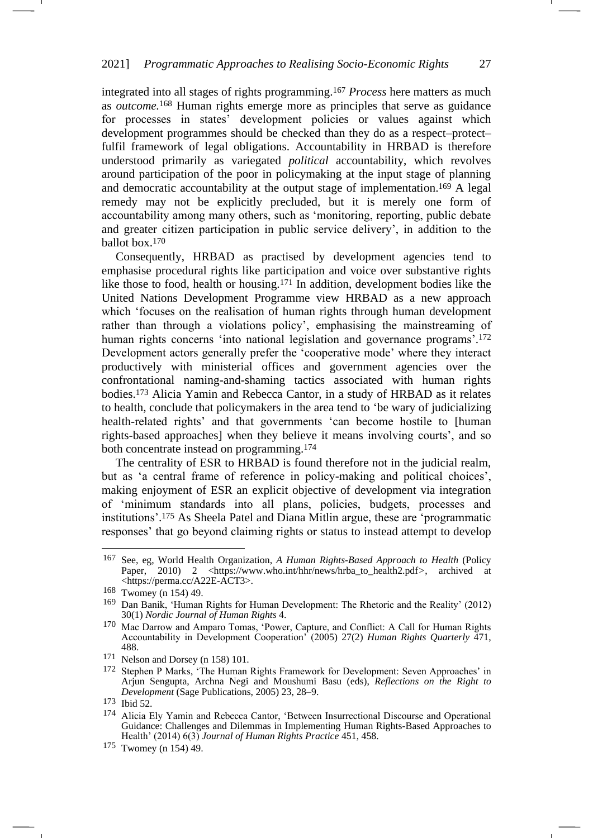integrated into all stages of rights programming.<sup>167</sup> *Process* here matters as much as *outcome.*<sup>168</sup> Human rights emerge more as principles that serve as guidance for processes in states' development policies or values against which development programmes should be checked than they do as a respect–protect– fulfil framework of legal obligations. Accountability in HRBAD is therefore understood primarily as variegated *political* accountability, which revolves around participation of the poor in policymaking at the input stage of planning and democratic accountability at the output stage of implementation.<sup>169</sup> A legal remedy may not be explicitly precluded, but it is merely one form of accountability among many others, such as 'monitoring, reporting, public debate and greater citizen participation in public service delivery', in addition to the ballot box.<sup>170</sup>

<span id="page-26-0"></span>Consequently, HRBAD as practised by development agencies tend to emphasise procedural rights like participation and voice over substantive rights like those to food, health or housing.<sup>171</sup> In addition, development bodies like the United Nations Development Programme view HRBAD as a new approach which 'focuses on the realisation of human rights through human development rather than through a violations policy', emphasising the mainstreaming of human rights concerns 'into national legislation and governance programs'.<sup>172</sup> Development actors generally prefer the 'cooperative mode' where they interact productively with ministerial offices and government agencies over the confrontational naming-and-shaming tactics associated with human rights bodies.<sup>173</sup> Alicia Yamin and Rebecca Cantor, in a study of HRBAD as it relates to health, conclude that policymakers in the area tend to 'be wary of judicializing health-related rights' and that governments 'can become hostile to [human rights-based approaches] when they believe it means involving courts', and so both concentrate instead on programming.<sup>174</sup>

The centrality of ESR to HRBAD is found therefore not in the judicial realm, but as 'a central frame of reference in policy-making and political choices', making enjoyment of ESR an explicit objective of development via integration of 'minimum standards into all plans, policies, budgets, processes and institutions'. <sup>175</sup> As Sheela Patel and Diana Mitlin argue, these are 'programmatic responses' that go beyond claiming rights or status to instead attempt to develop

<sup>167</sup> See, eg, World Health Organization, *A Human Rights-Based Approach to Health* (Policy Paper, 2010) 2 <https://www.who.int/hhr/news/hrba\_to\_health2.pdf*>*, archived at <https://perma.cc/A22E-ACT3>.

<sup>168</sup> Twomey (n [154\)](#page-24-0) 49.

<sup>169</sup> Dan Banik, 'Human Rights for Human Development: The Rhetoric and the Reality' (2012) 30(1) *Nordic Journal of Human Rights* 4.

<sup>170</sup> Mac Darrow and Amparo Tomas, 'Power, Capture, and Conflict: A Call for Human Rights Accountability in Development Cooperation' (2005) 27(2) *Human Rights Quarterly* 471, 488.

<sup>171</sup> Nelson and Dorsey (n [158\)](#page-24-1) 101.

<sup>172</sup> Stephen P Marks, 'The Human Rights Framework for Development: Seven Approaches' in Arjun Sengupta, Archna Negi and Moushumi Basu (eds), *Reflections on the Right to Development* (Sage Publications, 2005) 23, 28–9.

<sup>173</sup> Ibid 52.

<sup>174</sup> Alicia Ely Yamin and Rebecca Cantor, 'Between Insurrectional Discourse and Operational Guidance: Challenges and Dilemmas in Implementing Human Rights-Based Approaches to Health' (2014) 6(3) *Journal of Human Rights Practice* 451, 458.

<sup>175</sup> Twomey (n [154\)](#page-24-0) 49.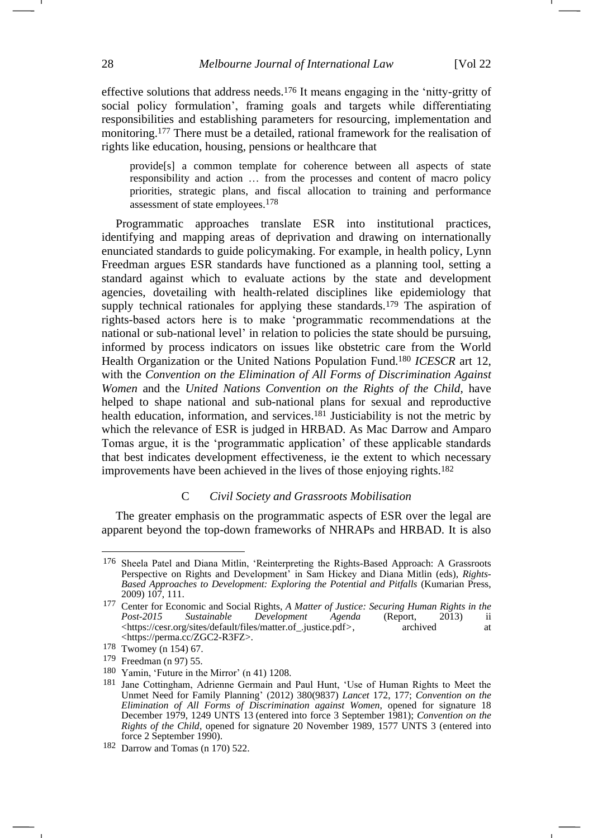effective solutions that address needs.<sup>176</sup> It means engaging in the 'nitty-gritty of social policy formulation', framing goals and targets while differentiating responsibilities and establishing parameters for resourcing, implementation and monitoring.<sup>177</sup> There must be a detailed, rational framework for the realisation of rights like education, housing, pensions or healthcare that

<span id="page-27-0"></span>provide[s] a common template for coherence between all aspects of state responsibility and action … from the processes and content of macro policy priorities, strategic plans, and fiscal allocation to training and performance assessment of state employees. 178

Programmatic approaches translate ESR into institutional practices, identifying and mapping areas of deprivation and drawing on internationally enunciated standards to guide policymaking. For example, in health policy, Lynn Freedman argues ESR standards have functioned as a planning tool, setting a standard against which to evaluate actions by the state and development agencies, dovetailing with health-related disciplines like epidemiology that supply technical rationales for applying these standards.<sup>179</sup> The aspiration of rights-based actors here is to make 'programmatic recommendations at the national or sub-national level' in relation to policies the state should be pursuing, informed by process indicators on issues like obstetric care from the World Health Organization or the United Nations Population Fund.<sup>180</sup> *ICESCR* art 12, with the *Convention on the Elimination of All Forms of Discrimination Against Women* and the *United Nations Convention on the Rights of the Child*, have helped to shape national and sub-national plans for sexual and reproductive health education, information, and services.<sup>181</sup> Justiciability is not the metric by which the relevance of ESR is judged in HRBAD. As Mac Darrow and Amparo Tomas argue, it is the 'programmatic application' of these applicable standards that best indicates development effectiveness, ie the extent to which necessary improvements have been achieved in the lives of those enjoying rights.<sup>182</sup>

#### C *Civil Society and Grassroots Mobilisation*

The greater emphasis on the programmatic aspects of ESR over the legal are apparent beyond the top-down frameworks of NHRAPs and HRBAD. It is also

<sup>176</sup> Sheela Patel and Diana Mitlin, 'Reinterpreting the Rights-Based Approach: A Grassroots Perspective on Rights and Development' in Sam Hickey and Diana Mitlin (eds), *Rights-Based Approaches to Development: Exploring the Potential and Pitfalls* (Kumarian Press, 2009) 107, 111.

<sup>177</sup> Center for Economic and Social Rights, *A Matter of Justice: Securing Human Rights in the Post-2015 Sustainable Development Agenda* (Report, 2013) ii <https://cesr.org/sites/default/files/matter.of\_.justice.pdf*>*, archived at <https://perma.cc/ZGC2-R3FZ>.

<sup>178</sup> Twomey (n [154\)](#page-24-0) 67.

<sup>179</sup> Freedman (n [97\)](#page-16-0) 55.

<sup>180</sup> Yamin, 'Future in the Mirror' (n [41\)](#page-7-2) 1208.

<sup>181</sup> Jane Cottingham, Adrienne Germain and Paul Hunt, 'Use of Human Rights to Meet the Unmet Need for Family Planning' (2012) 380(9837) *Lancet* 172, 177; *Convention on the Elimination of All Forms of Discrimination against Women*, opened for signature 18 December 1979, 1249 UNTS 13 (entered into force 3 September 1981); *Convention on the Rights of the Child*, opened for signature 20 November 1989, 1577 UNTS 3 (entered into force 2 September 1990).

<sup>182</sup> Darrow and Tomas (n [170\)](#page-26-0) 522.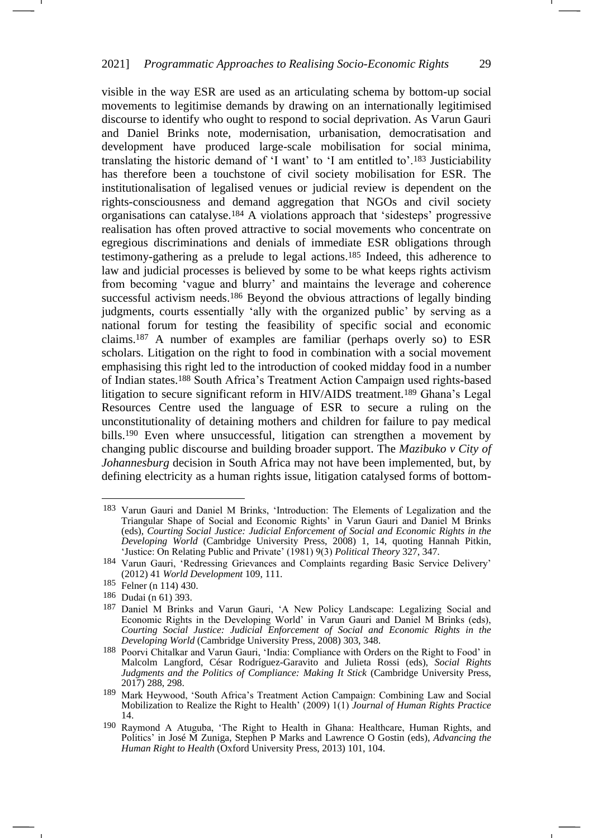visible in the way ESR are used as an articulating schema by bottom-up social movements to legitimise demands by drawing on an internationally legitimised discourse to identify who ought to respond to social deprivation. As Varun Gauri and Daniel Brinks note, modernisation, urbanisation, democratisation and development have produced large-scale mobilisation for social minima, translating the historic demand of 'I want' to 'I am entitled to'.<sup>183</sup> Justiciability has therefore been a touchstone of civil society mobilisation for ESR. The institutionalisation of legalised venues or judicial review is dependent on the rights-consciousness and demand aggregation that NGOs and civil society organisations can catalyse.<sup>184</sup> A violations approach that 'sidesteps' progressive realisation has often proved attractive to social movements who concentrate on egregious discriminations and denials of immediate ESR obligations through testimony-gathering as a prelude to legal actions.<sup>185</sup> Indeed, this adherence to law and judicial processes is believed by some to be what keeps rights activism from becoming 'vague and blurry' and maintains the leverage and coherence successful activism needs.<sup>186</sup> Beyond the obvious attractions of legally binding judgments, courts essentially 'ally with the organized public' by serving as a national forum for testing the feasibility of specific social and economic claims.<sup>187</sup> A number of examples are familiar (perhaps overly so) to ESR scholars. Litigation on the right to food in combination with a social movement emphasising this right led to the introduction of cooked midday food in a number of Indian states.<sup>188</sup> South Africa's Treatment Action Campaign used rights-based litigation to secure significant reform in HIV/AIDS treatment.<sup>189</sup> Ghana's Legal Resources Centre used the language of ESR to secure a ruling on the unconstitutionality of detaining mothers and children for failure to pay medical bills.<sup>190</sup> Even where unsuccessful, litigation can strengthen a movement by changing public discourse and building broader support. The *Mazibuko v City of Johannesburg* decision in South Africa may not have been implemented, but, by defining electricity as a human rights issue, litigation catalysed forms of bottom-

<sup>183</sup> Varun Gauri and Daniel M Brinks, 'Introduction: The Elements of Legalization and the Triangular Shape of Social and Economic Rights' in Varun Gauri and Daniel M Brinks (eds), *Courting Social Justice: Judicial Enforcement of Social and Economic Rights in the Developing World* (Cambridge University Press, 2008) 1, 14, quoting Hannah Pitkin, 'Justice: On Relating Public and Private' (1981) 9(3) *Political Theory* 327, 347.

<sup>184</sup> Varun Gauri, 'Redressing Grievances and Complaints regarding Basic Service Delivery' (2012) 41 *World Development* 109, 111.

<sup>185</sup> Felner (n [114\)](#page-19-1) 430.

<sup>186</sup> Dudai (n [61\)](#page-10-0) 393.

<sup>187</sup> Daniel M Brinks and Varun Gauri, 'A New Policy Landscape: Legalizing Social and Economic Rights in the Developing World' in Varun Gauri and Daniel M Brinks (eds), *Courting Social Justice: Judicial Enforcement of Social and Economic Rights in the Developing World* (Cambridge University Press, 2008) 303, 348.

<sup>188</sup> Poorvi Chitalkar and Varun Gauri, 'India: Compliance with Orders on the Right to Food' in Malcolm Langford, César Rodríguez-Garavito and Julieta Rossi (eds), *Social Rights Judgments and the Politics of Compliance: Making It Stick (Cambridge University Press,* 2017) 288, 298.

<sup>189</sup> Mark Heywood, 'South Africa's Treatment Action Campaign: Combining Law and Social Mobilization to Realize the Right to Health' (2009) 1(1) *Journal of Human Rights Practice* 14.

<sup>190</sup> Raymond A Atuguba, 'The Right to Health in Ghana: Healthcare, Human Rights, and Politics' in José M Zuniga, Stephen P Marks and Lawrence O Gostin (eds), *Advancing the Human Right to Health* (Oxford University Press, 2013) 101, 104.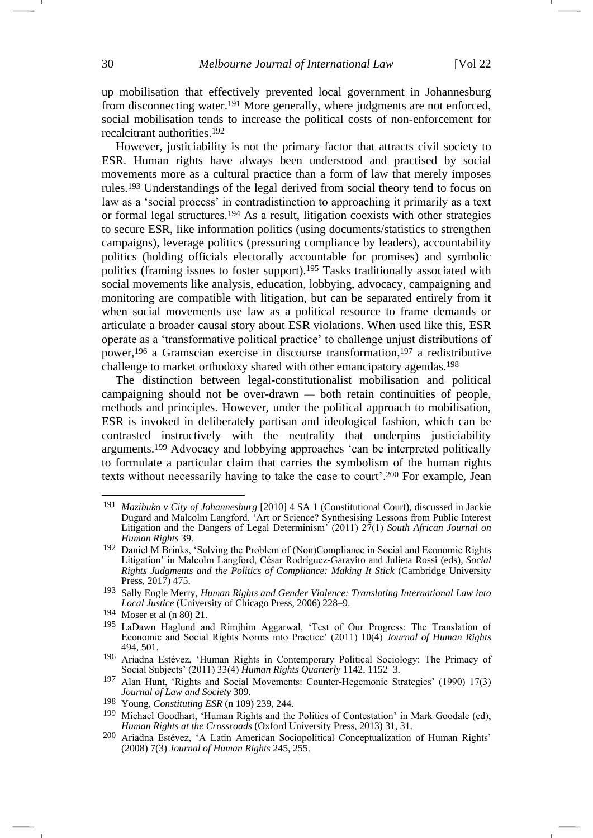up mobilisation that effectively prevented local government in Johannesburg from disconnecting water.<sup>191</sup> More generally, where judgments are not enforced, social mobilisation tends to increase the political costs of non-enforcement for recalcitrant authorities.<sup>192</sup>

However, justiciability is not the primary factor that attracts civil society to ESR. Human rights have always been understood and practised by social movements more as a cultural practice than a form of law that merely imposes rules.<sup>193</sup> Understandings of the legal derived from social theory tend to focus on law as a 'social process' in contradistinction to approaching it primarily as a text or formal legal structures.<sup>194</sup> As a result, litigation coexists with other strategies to secure ESR, like information politics (using documents/statistics to strengthen campaigns), leverage politics (pressuring compliance by leaders), accountability politics (holding officials electorally accountable for promises) and symbolic politics (framing issues to foster support).<sup>195</sup> Tasks traditionally associated with social movements like analysis, education, lobbying, advocacy, campaigning and monitoring are compatible with litigation, but can be separated entirely from it when social movements use law as a political resource to frame demands or articulate a broader causal story about ESR violations. When used like this, ESR operate as a 'transformative political practice' to challenge unjust distributions of power,<sup>196</sup> a Gramscian exercise in discourse transformation,<sup>197</sup> a redistributive challenge to market orthodoxy shared with other emancipatory agendas.<sup>198</sup>

The distinction between legal-constitutionalist mobilisation and political campaigning should not be over-drawn — both retain continuities of people, methods and principles. However, under the political approach to mobilisation, ESR is invoked in deliberately partisan and ideological fashion, which can be contrasted instructively with the neutrality that underpins justiciability arguments.<sup>199</sup> Advocacy and lobbying approaches 'can be interpreted politically to formulate a particular claim that carries the symbolism of the human rights texts without necessarily having to take the case to court'. <sup>200</sup> For example, Jean

<sup>191</sup> *Mazibuko v City of Johannesburg* [2010] 4 SA 1 (Constitutional Court), discussed in Jackie Dugard and Malcolm Langford, 'Art or Science? Synthesising Lessons from Public Interest Litigation and the Dangers of Legal Determinism' (2011) 27(1) *South African Journal on Human Rights* 39.

<sup>192</sup> Daniel M Brinks, 'Solving the Problem of (Non)Compliance in Social and Economic Rights Litigation' in Malcolm Langford, César Rodríguez-Garavito and Julieta Rossi (eds), *Social Rights Judgments and the Politics of Compliance: Making It Stick* (Cambridge University Press, 2017) 475.

<sup>193</sup> Sally Engle Merry, *Human Rights and Gender Violence: Translating International Law into Local Justice* (University of Chicago Press, 2006) 228–9.

<sup>194</sup> Moser et al (n [80\)](#page-13-0) 21.

<sup>195</sup> LaDawn Haglund and Rimjhim Aggarwal, 'Test of Our Progress: The Translation of Economic and Social Rights Norms into Practice' (2011) 10(4) *Journal of Human Rights* 494, 501.

<sup>196</sup> Ariadna Estévez, 'Human Rights in Contemporary Political Sociology: The Primacy of Social Subjects' (2011) 33(4) *Human Rights Quarterly* 1142, 1152–3.

<sup>197</sup> Alan Hunt, 'Rights and Social Movements: Counter-Hegemonic Strategies' (1990) 17(3) *Journal of Law and Society* 309.

<sup>198</sup> Young, *Constituting ESR* (n [109\)](#page-17-0) 239, 244.

<sup>199</sup> Michael Goodhart, 'Human Rights and the Politics of Contestation' in Mark Goodale (ed), *Human Rights at the Crossroads* (Oxford University Press, 2013) 31, 31.

<sup>200</sup> Ariadna Estévez, 'A Latin American Sociopolitical Conceptualization of Human Rights' (2008) 7(3) *Journal of Human Rights* 245, 255.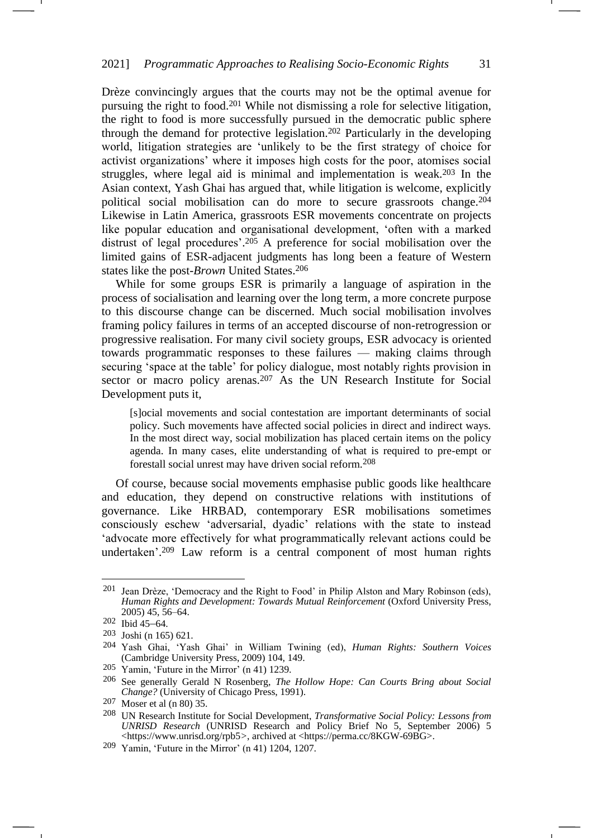Drèze convincingly argues that the courts may not be the optimal avenue for pursuing the right to food.<sup>201</sup> While not dismissing a role for selective litigation, the right to food is more successfully pursued in the democratic public sphere through the demand for protective legislation.<sup>202</sup> Particularly in the developing world, litigation strategies are 'unlikely to be the first strategy of choice for activist organizations' where it imposes high costs for the poor, atomises social struggles, where legal aid is minimal and implementation is weak.<sup>203</sup> In the Asian context, Yash Ghai has argued that, while litigation is welcome, explicitly political social mobilisation can do more to secure grassroots change.<sup>204</sup> Likewise in Latin America, grassroots ESR movements concentrate on projects like popular education and organisational development, 'often with a marked distrust of legal procedures'. <sup>205</sup> A preference for social mobilisation over the limited gains of ESR-adjacent judgments has long been a feature of Western states like the post-*Brown* United States.<sup>206</sup>

While for some groups ESR is primarily a language of aspiration in the process of socialisation and learning over the long term, a more concrete purpose to this discourse change can be discerned. Much social mobilisation involves framing policy failures in terms of an accepted discourse of non-retrogression or progressive realisation. For many civil society groups, ESR advocacy is oriented towards programmatic responses to these failures — making claims through securing 'space at the table' for policy dialogue, most notably rights provision in sector or macro policy arenas.<sup>207</sup> As the UN Research Institute for Social Development puts it,

[s]ocial movements and social contestation are important determinants of social policy. Such movements have affected social policies in direct and indirect ways. In the most direct way, social mobilization has placed certain items on the policy agenda. In many cases, elite understanding of what is required to pre-empt or forestall social unrest may have driven social reform.208

Of course, because social movements emphasise public goods like healthcare and education, they depend on constructive relations with institutions of governance. Like HRBAD, contemporary ESR mobilisations sometimes consciously eschew 'adversarial, dyadic' relations with the state to instead 'advocate more effectively for what programmatically relevant actions could be undertaken'. <sup>209</sup> Law reform is a central component of most human rights

<sup>201</sup> Jean Drèze, 'Democracy and the Right to Food' in Philip Alston and Mary Robinson (eds), *Human Rights and Development: Towards Mutual Reinforcement* (Oxford University Press, 2005) 45, 56–64.

<sup>202</sup> Ibid 45–64.

<sup>203</sup> Joshi (n [165\)](#page-25-0) 621.

<sup>204</sup> Yash Ghai, 'Yash Ghai' in William Twining (ed), *Human Rights: Southern Voices* (Cambridge University Press, 2009) 104, 149.

<sup>205</sup> Yamin, 'Future in the Mirror' (n [41\)](#page-7-2) 1239.

<sup>206</sup> See generally Gerald N Rosenberg, *The Hollow Hope: Can Courts Bring about Social Change?* (University of Chicago Press, 1991).

<sup>207</sup> Moser et al (n [80\)](#page-13-0) 35.

<sup>208</sup> UN Research Institute for Social Development, *Transformative Social Policy: Lessons from UNRISD Research* (UNRISD Research and Policy Brief No 5, September 2006) 5 <https://www.unrisd.org/rpb5*>*, archived at <https://perma.cc/8KGW-69BG>.

<sup>209</sup> Yamin, 'Future in the Mirror' (n [41\)](#page-7-2) 1204, 1207.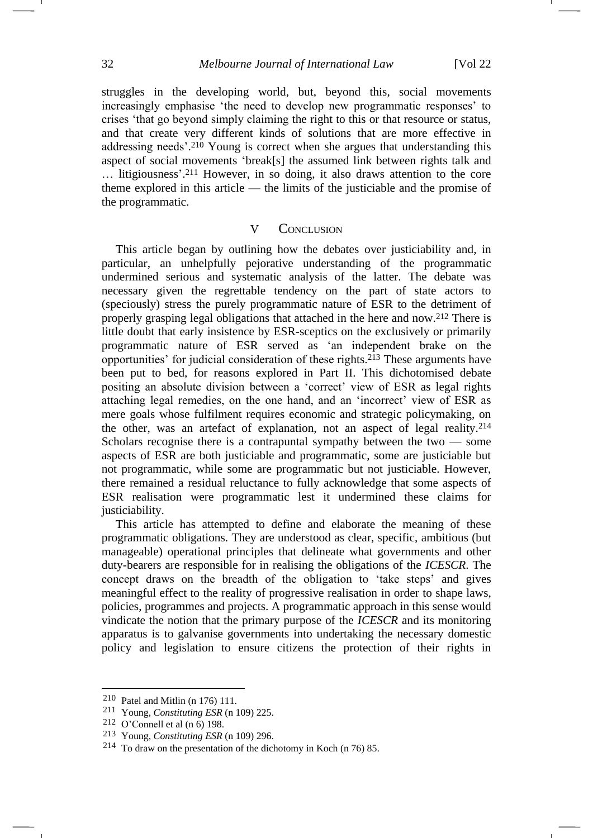struggles in the developing world, but, beyond this, social movements increasingly emphasise 'the need to develop new programmatic responses' to crises 'that go beyond simply claiming the right to this or that resource or status, and that create very different kinds of solutions that are more effective in addressing needs'. <sup>210</sup> Young is correct when she argues that understanding this aspect of social movements 'break[s] the assumed link between rights talk and … litigiousness'. <sup>211</sup> However, in so doing, it also draws attention to the core theme explored in this article — the limits of the justiciable and the promise of the programmatic.

#### V CONCLUSION

This article began by outlining how the debates over justiciability and, in particular, an unhelpfully pejorative understanding of the programmatic undermined serious and systematic analysis of the latter. The debate was necessary given the regrettable tendency on the part of state actors to (speciously) stress the purely programmatic nature of ESR to the detriment of properly grasping legal obligations that attached in the here and now.<sup>212</sup> There is little doubt that early insistence by ESR-sceptics on the exclusively or primarily programmatic nature of ESR served as 'an independent brake on the opportunities' for judicial consideration of these rights.<sup>213</sup> These arguments have been put to bed, for reasons explored in Part II. This dichotomised debate positing an absolute division between a 'correct' view of ESR as legal rights attaching legal remedies, on the one hand, and an 'incorrect' view of ESR as mere goals whose fulfilment requires economic and strategic policymaking, on the other, was an artefact of explanation, not an aspect of legal reality.<sup>214</sup> Scholars recognise there is a contrapuntal sympathy between the two — some aspects of ESR are both justiciable and programmatic, some are justiciable but not programmatic, while some are programmatic but not justiciable. However, there remained a residual reluctance to fully acknowledge that some aspects of ESR realisation were programmatic lest it undermined these claims for justiciability.

This article has attempted to define and elaborate the meaning of these programmatic obligations. They are understood as clear, specific, ambitious (but manageable) operational principles that delineate what governments and other duty-bearers are responsible for in realising the obligations of the *ICESCR*. The concept draws on the breadth of the obligation to 'take steps' and gives meaningful effect to the reality of progressive realisation in order to shape laws, policies, programmes and projects. A programmatic approach in this sense would vindicate the notion that the primary purpose of the *ICESCR* and its monitoring apparatus is to galvanise governments into undertaking the necessary domestic policy and legislation to ensure citizens the protection of their rights in

<sup>210</sup> Patel and Mitlin (n [176\)](#page-27-0) 111.

<sup>211</sup> Young, *Constituting ESR* (n [109\)](#page-17-0) 225.

<sup>212</sup> O'Connell et al  $(n 6)$  $(n 6)$  198.

<sup>213</sup> Young, *Constituting ESR* (n [109\)](#page-17-0) 296.

<sup>214</sup> To draw on the presentation of the dichotomy in Koch (n [76\)](#page-13-1) 85.